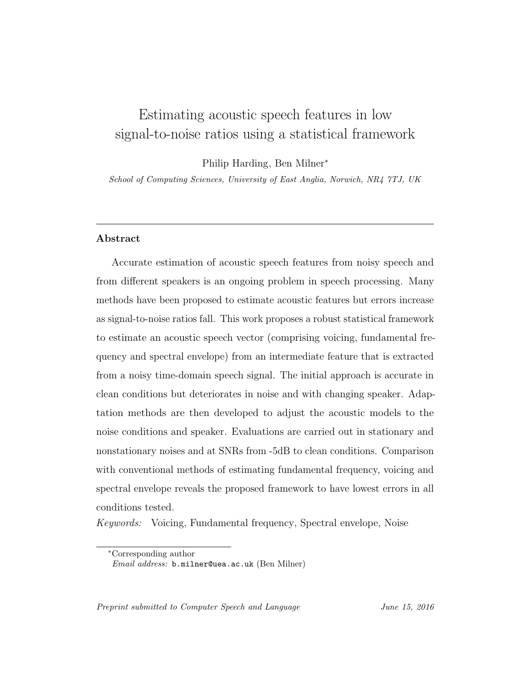# Estimating acoustic speech features in low signal-to-noise ratios using a statistical framework

Philip Harding, Ben Milner<sup>∗</sup>

School of Computing Sciences, University of East Anglia, Norwich, NR4 7TJ, UK

# Abstract

Accurate estimation of acoustic speech features from noisy speech and from different speakers is an ongoing problem in speech processing. Many methods have been proposed to estimate acoustic features but errors increase as signal-to-noise ratios fall. This work proposes a robust statistical framework to estimate an acoustic speech vector (comprising voicing, fundamental frequency and spectral envelope) from an intermediate feature that is extracted from a noisy time-domain speech signal. The initial approach is accurate in clean conditions but deteriorates in noise and with changing speaker. Adaptation methods are then developed to adjust the acoustic models to the noise conditions and speaker. Evaluations are carried out in stationary and nonstationary noises and at SNRs from -5dB to clean conditions. Comparison with conventional methods of estimating fundamental frequency, voicing and spectral envelope reveals the proposed framework to have lowest errors in all conditions tested.

Keywords: Voicing, Fundamental frequency, Spectral envelope, Noise

Preprint submitted to Computer Speech and Language June 15, 2016

<sup>∗</sup>Corresponding author

Email address: b.milner@uea.ac.uk (Ben Milner)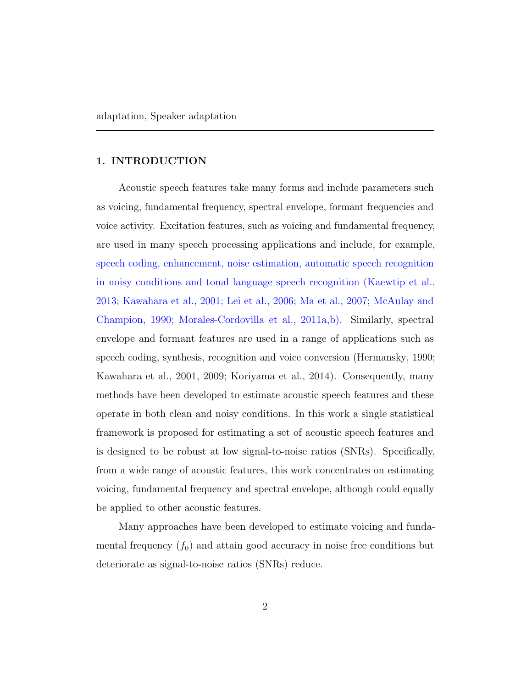#### 1. INTRODUCTION

Acoustic speech features take many forms and include parameters such as voicing, fundamental frequency, spectral envelope, formant frequencies and voice activity. Excitation features, such as voicing and fundamental frequency, are used in many speech processing applications and include, for example, speech coding, enhancement, noise estimation, automatic speech recognition in noisy conditions and tonal language speech recognition (Kaewtip et al., 2013; Kawahara et al., 2001; Lei et al., 2006; Ma et al., 2007; McAulay and Champion, 1990; Morales-Cordovilla et al., 2011a,b). Similarly, spectral envelope and formant features are used in a range of applications such as speech coding, synthesis, recognition and voice conversion (Hermansky, 1990; Kawahara et al., 2001, 2009; Koriyama et al., 2014). Consequently, many methods have been developed to estimate acoustic speech features and these operate in both clean and noisy conditions. In this work a single statistical framework is proposed for estimating a set of acoustic speech features and is designed to be robust at low signal-to-noise ratios (SNRs). Specifically, from a wide range of acoustic features, this work concentrates on estimating voicing, fundamental frequency and spectral envelope, although could equally be applied to other acoustic features.

Many approaches have been developed to estimate voicing and fundamental frequency  $(f_0)$  and attain good accuracy in noise free conditions but deteriorate as signal-to-noise ratios (SNRs) reduce.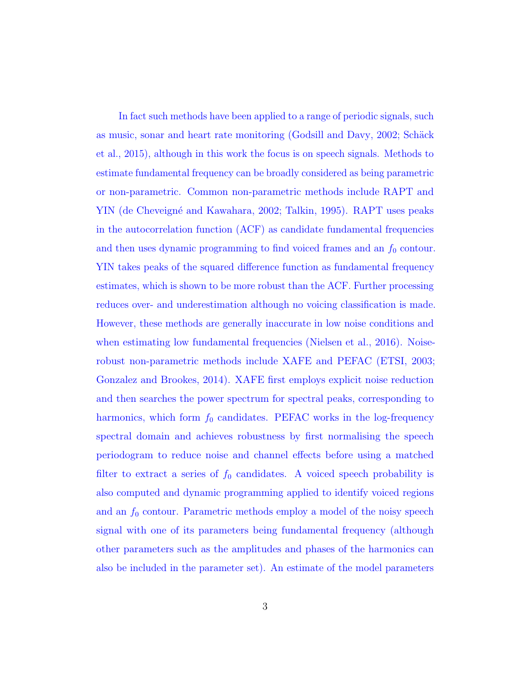In fact such methods have been applied to a range of periodic signals, such as music, sonar and heart rate monitoring (Godsill and Davy, 2002; Schäck et al., 2015), although in this work the focus is on speech signals. Methods to estimate fundamental frequency can be broadly considered as being parametric or non-parametric. Common non-parametric methods include RAPT and YIN (de Cheveigné and Kawahara, 2002; Talkin, 1995). RAPT uses peaks in the autocorrelation function (ACF) as candidate fundamental frequencies and then uses dynamic programming to find voiced frames and an  $f_0$  contour. YIN takes peaks of the squared difference function as fundamental frequency estimates, which is shown to be more robust than the ACF. Further processing reduces over- and underestimation although no voicing classification is made. However, these methods are generally inaccurate in low noise conditions and when estimating low fundamental frequencies (Nielsen et al., 2016). Noiserobust non-parametric methods include XAFE and PEFAC (ETSI, 2003; Gonzalez and Brookes, 2014). XAFE first employs explicit noise reduction and then searches the power spectrum for spectral peaks, corresponding to harmonics, which form  $f_0$  candidates. PEFAC works in the log-frequency spectral domain and achieves robustness by first normalising the speech periodogram to reduce noise and channel effects before using a matched filter to extract a series of  $f_0$  candidates. A voiced speech probability is also computed and dynamic programming applied to identify voiced regions and an  $f_0$  contour. Parametric methods employ a model of the noisy speech signal with one of its parameters being fundamental frequency (although other parameters such as the amplitudes and phases of the harmonics can also be included in the parameter set). An estimate of the model parameters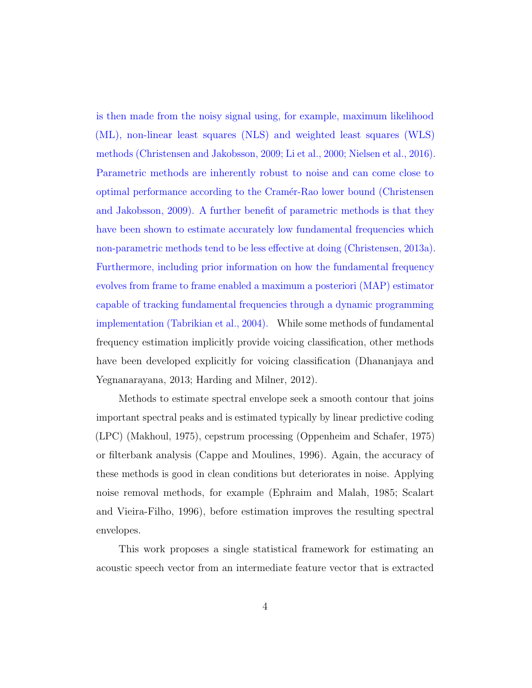is then made from the noisy signal using, for example, maximum likelihood (ML), non-linear least squares (NLS) and weighted least squares (WLS) methods (Christensen and Jakobsson, 2009; Li et al., 2000; Nielsen et al., 2016). Parametric methods are inherently robust to noise and can come close to optimal performance according to the Cram´er-Rao lower bound (Christensen and Jakobsson, 2009). A further benefit of parametric methods is that they have been shown to estimate accurately low fundamental frequencies which non-parametric methods tend to be less effective at doing (Christensen, 2013a). Furthermore, including prior information on how the fundamental frequency evolves from frame to frame enabled a maximum a posteriori (MAP) estimator capable of tracking fundamental frequencies through a dynamic programming implementation (Tabrikian et al., 2004). While some methods of fundamental frequency estimation implicitly provide voicing classification, other methods have been developed explicitly for voicing classification (Dhananjaya and Yegnanarayana, 2013; Harding and Milner, 2012).

Methods to estimate spectral envelope seek a smooth contour that joins important spectral peaks and is estimated typically by linear predictive coding (LPC) (Makhoul, 1975), cepstrum processing (Oppenheim and Schafer, 1975) or filterbank analysis (Cappe and Moulines, 1996). Again, the accuracy of these methods is good in clean conditions but deteriorates in noise. Applying noise removal methods, for example (Ephraim and Malah, 1985; Scalart and Vieira-Filho, 1996), before estimation improves the resulting spectral envelopes.

This work proposes a single statistical framework for estimating an acoustic speech vector from an intermediate feature vector that is extracted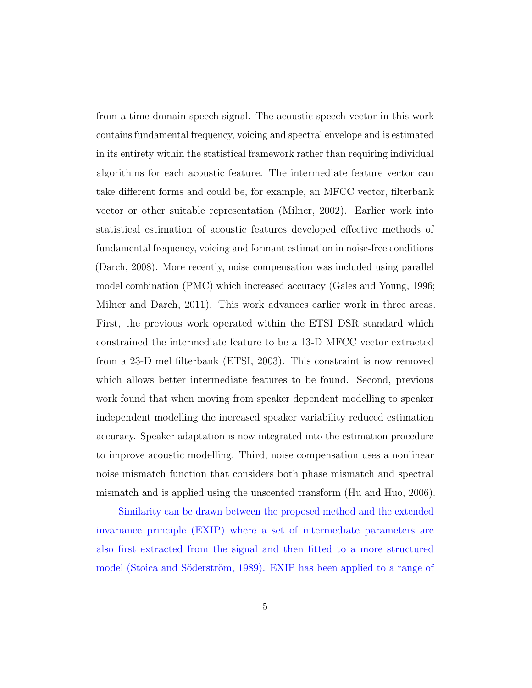from a time-domain speech signal. The acoustic speech vector in this work contains fundamental frequency, voicing and spectral envelope and is estimated in its entirety within the statistical framework rather than requiring individual algorithms for each acoustic feature. The intermediate feature vector can take different forms and could be, for example, an MFCC vector, filterbank vector or other suitable representation (Milner, 2002). Earlier work into statistical estimation of acoustic features developed effective methods of fundamental frequency, voicing and formant estimation in noise-free conditions (Darch, 2008). More recently, noise compensation was included using parallel model combination (PMC) which increased accuracy (Gales and Young, 1996; Milner and Darch, 2011). This work advances earlier work in three areas. First, the previous work operated within the ETSI DSR standard which constrained the intermediate feature to be a 13-D MFCC vector extracted from a 23-D mel filterbank (ETSI, 2003). This constraint is now removed which allows better intermediate features to be found. Second, previous work found that when moving from speaker dependent modelling to speaker independent modelling the increased speaker variability reduced estimation accuracy. Speaker adaptation is now integrated into the estimation procedure to improve acoustic modelling. Third, noise compensation uses a nonlinear noise mismatch function that considers both phase mismatch and spectral mismatch and is applied using the unscented transform (Hu and Huo, 2006).

Similarity can be drawn between the proposed method and the extended invariance principle (EXIP) where a set of intermediate parameters are also first extracted from the signal and then fitted to a more structured model (Stoica and Söderström, 1989). EXIP has been applied to a range of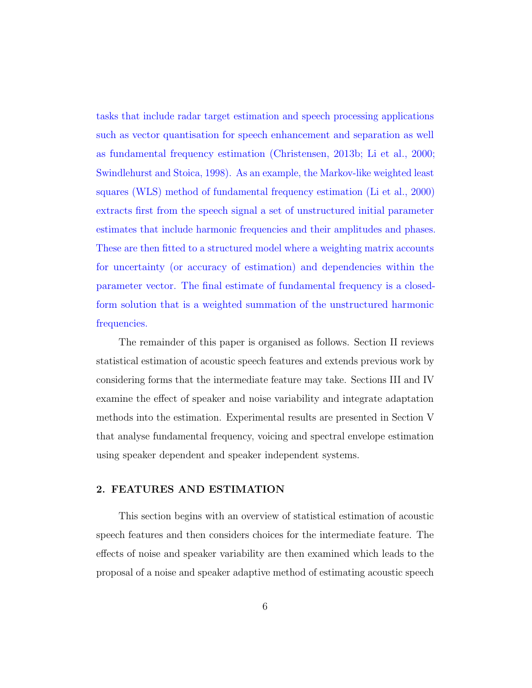tasks that include radar target estimation and speech processing applications such as vector quantisation for speech enhancement and separation as well as fundamental frequency estimation (Christensen, 2013b; Li et al., 2000; Swindlehurst and Stoica, 1998). As an example, the Markov-like weighted least squares (WLS) method of fundamental frequency estimation (Li et al., 2000) extracts first from the speech signal a set of unstructured initial parameter estimates that include harmonic frequencies and their amplitudes and phases. These are then fitted to a structured model where a weighting matrix accounts for uncertainty (or accuracy of estimation) and dependencies within the parameter vector. The final estimate of fundamental frequency is a closedform solution that is a weighted summation of the unstructured harmonic frequencies.

The remainder of this paper is organised as follows. Section II reviews statistical estimation of acoustic speech features and extends previous work by considering forms that the intermediate feature may take. Sections III and IV examine the effect of speaker and noise variability and integrate adaptation methods into the estimation. Experimental results are presented in Section V that analyse fundamental frequency, voicing and spectral envelope estimation using speaker dependent and speaker independent systems.

## 2. FEATURES AND ESTIMATION

This section begins with an overview of statistical estimation of acoustic speech features and then considers choices for the intermediate feature. The effects of noise and speaker variability are then examined which leads to the proposal of a noise and speaker adaptive method of estimating acoustic speech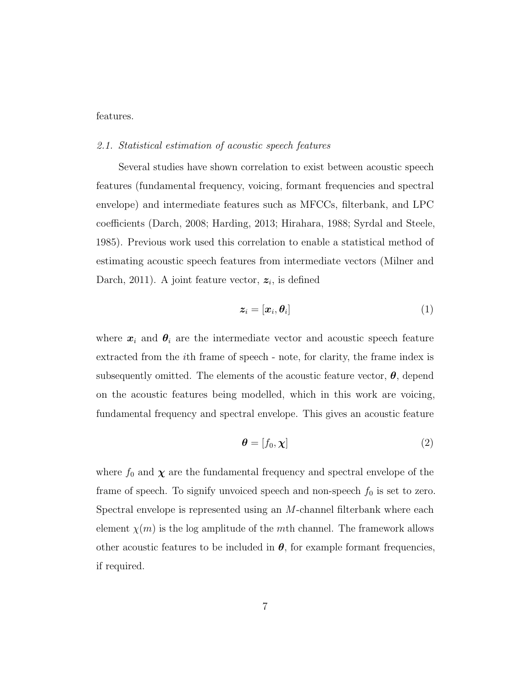features.

#### 2.1. Statistical estimation of acoustic speech features

Several studies have shown correlation to exist between acoustic speech features (fundamental frequency, voicing, formant frequencies and spectral envelope) and intermediate features such as MFCCs, filterbank, and LPC coefficients (Darch, 2008; Harding, 2013; Hirahara, 1988; Syrdal and Steele, 1985). Previous work used this correlation to enable a statistical method of estimating acoustic speech features from intermediate vectors (Milner and Darch, 2011). A joint feature vector,  $z_i$ , is defined

$$
\boldsymbol{z}_i = [\boldsymbol{x}_i, \boldsymbol{\theta}_i] \tag{1}
$$

where  $x_i$  and  $\theta_i$  are the intermediate vector and acoustic speech feature extracted from the ith frame of speech - note, for clarity, the frame index is subsequently omitted. The elements of the acoustic feature vector,  $\theta$ , depend on the acoustic features being modelled, which in this work are voicing, fundamental frequency and spectral envelope. This gives an acoustic feature

$$
\boldsymbol{\theta} = [f_0, \boldsymbol{\chi}] \tag{2}
$$

where  $f_0$  and  $\chi$  are the fundamental frequency and spectral envelope of the frame of speech. To signify unvoiced speech and non-speech  $f_0$  is set to zero. Spectral envelope is represented using an M-channel filterbank where each element  $\chi(m)$  is the log amplitude of the mth channel. The framework allows other acoustic features to be included in  $\theta$ , for example formant frequencies, if required.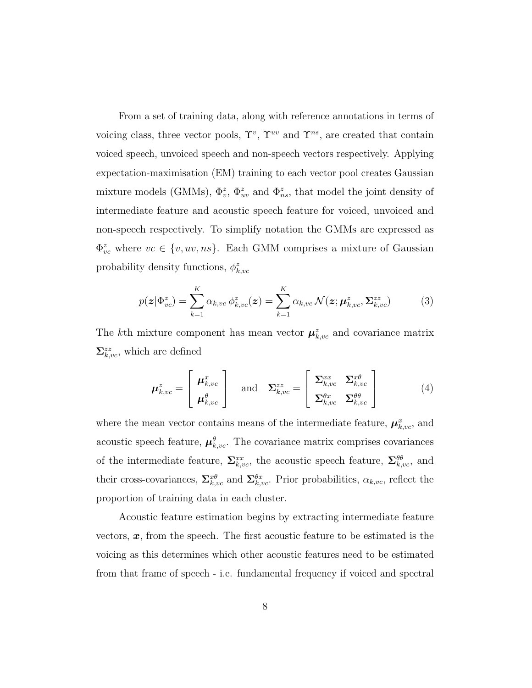From a set of training data, along with reference annotations in terms of voicing class, three vector pools,  $\Upsilon^{v}$ ,  $\Upsilon^{uv}$  and  $\Upsilon^{ns}$ , are created that contain voiced speech, unvoiced speech and non-speech vectors respectively. Applying expectation-maximisation (EM) training to each vector pool creates Gaussian mixture models (GMMs),  $\Phi_v^z$ ,  $\Phi_{uv}^z$  and  $\Phi_{ns}^z$ , that model the joint density of intermediate feature and acoustic speech feature for voiced, unvoiced and non-speech respectively. To simplify notation the GMMs are expressed as  $\Phi_{vc}^z$  where  $vc \in \{v, uv, ns\}$ . Each GMM comprises a mixture of Gaussian probability density functions,  $\phi_{k,vc}^z$ 

$$
p(\boldsymbol{z}|\Phi_{vc}^{z}) = \sum_{k=1}^{K} \alpha_{k,vc} \phi_{k,vc}^{z}(\boldsymbol{z}) = \sum_{k=1}^{K} \alpha_{k,vc} \mathcal{N}(\boldsymbol{z}; \boldsymbol{\mu}_{k,vc}^{z}, \boldsymbol{\Sigma}_{k,vc}^{zz})
$$
(3)

The kth mixture component has mean vector  $\mu_{k,vc}^z$  and covariance matrix  $\sum_{k,vc}^{zz}$ , which are defined

$$
\boldsymbol{\mu}_{k,vc}^{z} = \begin{bmatrix} \boldsymbol{\mu}_{k,vc}^{x} \\ \boldsymbol{\mu}_{k,vc}^{\theta} \end{bmatrix} \text{ and } \boldsymbol{\Sigma}_{k,vc}^{zz} = \begin{bmatrix} \boldsymbol{\Sigma}_{k,vc}^{xx} & \boldsymbol{\Sigma}_{k,vc}^{x\theta} \\ \boldsymbol{\Sigma}_{k,vc}^{\theta x} & \boldsymbol{\Sigma}_{k,vc}^{\theta\theta} \end{bmatrix}
$$
(4)

where the mean vector contains means of the intermediate feature,  $\mu_{k,vc}^{x}$ , and acoustic speech feature,  $\mu_{k,vc}^{\theta}$ . The covariance matrix comprises covariances of the intermediate feature,  $\Sigma_{k,vc}^{xx}$ , the acoustic speech feature,  $\Sigma_{k,vc}^{\theta\theta}$ , and their cross-covariances,  $\Sigma_{k,vc}^{x\theta}$  and  $\Sigma_{k,vc}^{\theta x}$ . Prior probabilities,  $\alpha_{k,vc}$ , reflect the proportion of training data in each cluster.

Acoustic feature estimation begins by extracting intermediate feature vectors,  $x$ , from the speech. The first acoustic feature to be estimated is the voicing as this determines which other acoustic features need to be estimated from that frame of speech - i.e. fundamental frequency if voiced and spectral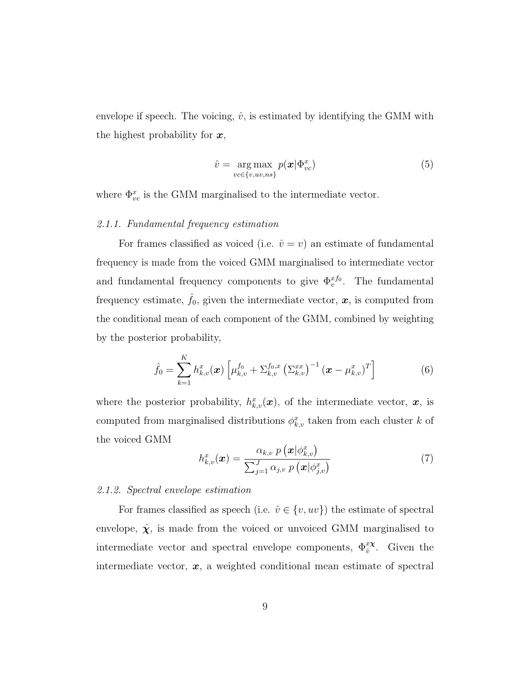envelope if speech. The voicing,  $\hat{v}$ , is estimated by identifying the GMM with the highest probability for  $x$ ,

$$
\hat{v} = \underset{v \in \{v, uv, ns\}}{\arg \max} p(\boldsymbol{x} | \Phi_{vc}^x)
$$
\n(5)

where  $\Phi_{vc}^{x}$  is the GMM marginalised to the intermediate vector.

#### 2.1.1. Fundamental frequency estimation

For frames classified as voiced (i.e.  $\hat{v} = v$ ) an estimate of fundamental frequency is made from the voiced GMM marginalised to intermediate vector and fundamental frequency components to give  $\Phi_v^{x f_0}$ . The fundamental frequency estimate,  $\hat{f}_0$ , given the intermediate vector,  $\boldsymbol{x}$ , is computed from the conditional mean of each component of the GMM, combined by weighting by the posterior probability,

$$
\hat{f}_0 = \sum_{k=1}^K h_{k,v}^x(\boldsymbol{x}) \left[ \mu_{k,v}^{f_0} + \Sigma_{k,v}^{f_0,x} \left( \Sigma_{k,v}^{xx} \right)^{-1} (\boldsymbol{x} - \mu_{k,v}^x)^T \right] \tag{6}
$$

where the posterior probability,  $h_{k,v}^x(\boldsymbol{x})$ , of the intermediate vector,  $\boldsymbol{x}$ , is computed from marginalised distributions  $\phi_{k,v}^x$  taken from each cluster k of the voiced GMM

$$
h_{k,v}^x(\boldsymbol{x}) = \frac{\alpha_{k,v} \ p\left(\boldsymbol{x} | \phi_{k,v}^x\right)}{\sum_{j=1}^J \alpha_{j,v} \ p\left(\boldsymbol{x} | \phi_{j,v}^x\right)}
$$
(7)

#### 2.1.2. Spectral envelope estimation

For frames classified as speech (i.e.  $\hat{v} \in \{v, uv\}$ ) the estimate of spectral envelope,  $\hat{\chi}$ , is made from the voiced or unvoiced GMM marginalised to intermediate vector and spectral envelope components,  $\Phi_{\hat{v}}^{x\chi}$ . Given the intermediate vector,  $x$ , a weighted conditional mean estimate of spectral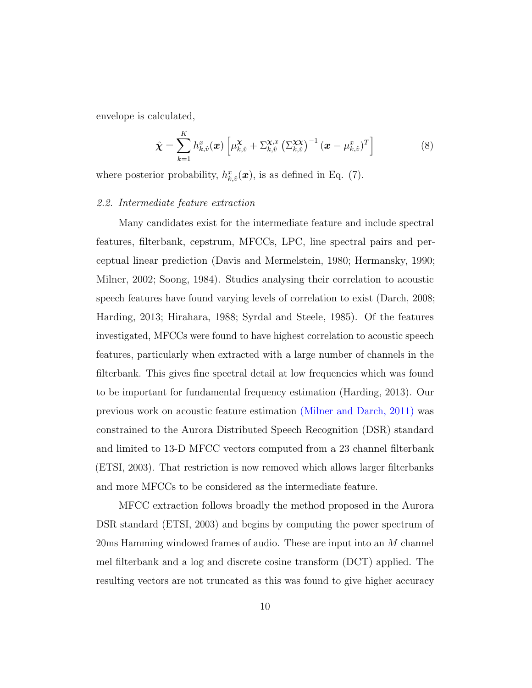envelope is calculated,

$$
\hat{\boldsymbol{\chi}} = \sum_{k=1}^{K} h_{k,\hat{v}}^{x}(\boldsymbol{x}) \left[ \mu_{k,\hat{v}}^{\boldsymbol{\chi}} + \Sigma_{k,\hat{v}}^{\boldsymbol{\chi},x} \left( \Sigma_{k,\hat{v}}^{\boldsymbol{\chi}\boldsymbol{\chi}} \right)^{-1} (\boldsymbol{x} - \mu_{k,\hat{v}}^{x})^{T} \right]
$$
(8)

where posterior probability,  $h_{k,\hat{v}}^x(\boldsymbol{x})$ , is as defined in Eq. (7).

#### 2.2. Intermediate feature extraction

Many candidates exist for the intermediate feature and include spectral features, filterbank, cepstrum, MFCCs, LPC, line spectral pairs and perceptual linear prediction (Davis and Mermelstein, 1980; Hermansky, 1990; Milner, 2002; Soong, 1984). Studies analysing their correlation to acoustic speech features have found varying levels of correlation to exist (Darch, 2008; Harding, 2013; Hirahara, 1988; Syrdal and Steele, 1985). Of the features investigated, MFCCs were found to have highest correlation to acoustic speech features, particularly when extracted with a large number of channels in the filterbank. This gives fine spectral detail at low frequencies which was found to be important for fundamental frequency estimation (Harding, 2013). Our previous work on acoustic feature estimation (Milner and Darch, 2011) was constrained to the Aurora Distributed Speech Recognition (DSR) standard and limited to 13-D MFCC vectors computed from a 23 channel filterbank (ETSI, 2003). That restriction is now removed which allows larger filterbanks and more MFCCs to be considered as the intermediate feature.

MFCC extraction follows broadly the method proposed in the Aurora DSR standard (ETSI, 2003) and begins by computing the power spectrum of 20ms Hamming windowed frames of audio. These are input into an M channel mel filterbank and a log and discrete cosine transform (DCT) applied. The resulting vectors are not truncated as this was found to give higher accuracy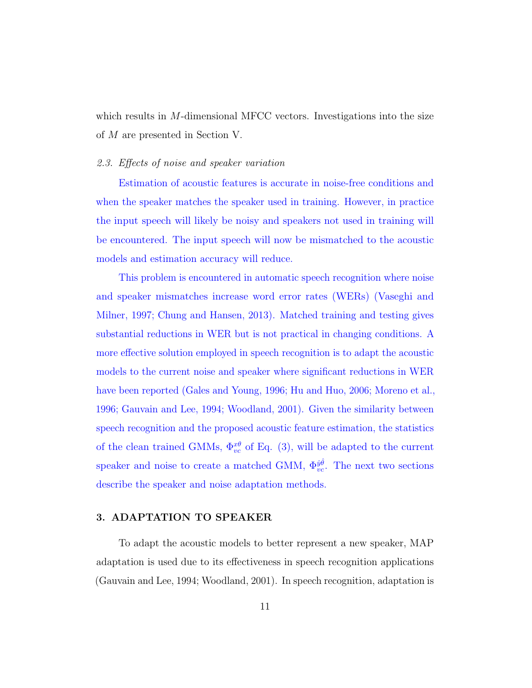which results in M-dimensional MFCC vectors. Investigations into the size of M are presented in Section V.

### 2.3. Effects of noise and speaker variation

Estimation of acoustic features is accurate in noise-free conditions and when the speaker matches the speaker used in training. However, in practice the input speech will likely be noisy and speakers not used in training will be encountered. The input speech will now be mismatched to the acoustic models and estimation accuracy will reduce.

This problem is encountered in automatic speech recognition where noise and speaker mismatches increase word error rates (WERs) (Vaseghi and Milner, 1997; Chung and Hansen, 2013). Matched training and testing gives substantial reductions in WER but is not practical in changing conditions. A more effective solution employed in speech recognition is to adapt the acoustic models to the current noise and speaker where significant reductions in WER have been reported (Gales and Young, 1996; Hu and Huo, 2006; Moreno et al., 1996; Gauvain and Lee, 1994; Woodland, 2001). Given the similarity between speech recognition and the proposed acoustic feature estimation, the statistics of the clean trained GMMs,  $\Phi_{vc}^{x\theta}$  of Eq. (3), will be adapted to the current speaker and noise to create a matched GMM,  $\Phi_{vc}^{j\hat{\theta}}$ . The next two sections describe the speaker and noise adaptation methods.

## 3. ADAPTATION TO SPEAKER

To adapt the acoustic models to better represent a new speaker, MAP adaptation is used due to its effectiveness in speech recognition applications (Gauvain and Lee, 1994; Woodland, 2001). In speech recognition, adaptation is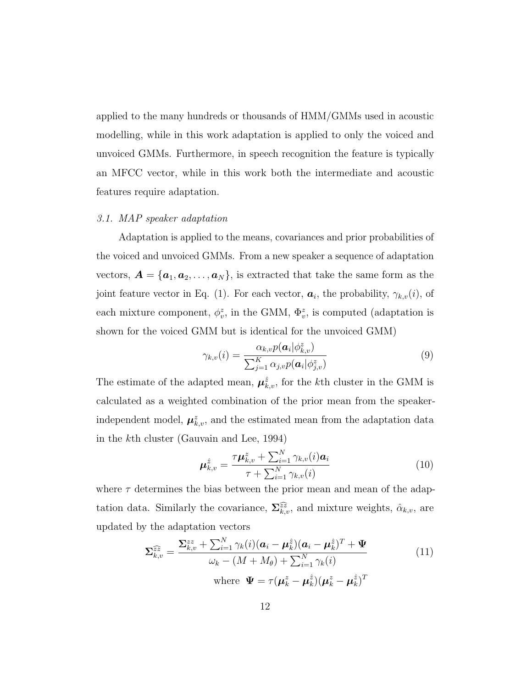applied to the many hundreds or thousands of HMM/GMMs used in acoustic modelling, while in this work adaptation is applied to only the voiced and unvoiced GMMs. Furthermore, in speech recognition the feature is typically an MFCC vector, while in this work both the intermediate and acoustic features require adaptation.

#### 3.1. MAP speaker adaptation

Adaptation is applied to the means, covariances and prior probabilities of the voiced and unvoiced GMMs. From a new speaker a sequence of adaptation vectors,  $\mathbf{A} = {\mathbf{a}_1, a_2, \ldots, a_N}$ , is extracted that take the same form as the joint feature vector in Eq. (1). For each vector,  $a_i$ , the probability,  $\gamma_{k,v}(i)$ , of each mixture component,  $\phi_v^z$ , in the GMM,  $\Phi_v^z$ , is computed (adaptation is shown for the voiced GMM but is identical for the unvoiced GMM)

$$
\gamma_{k,v}(i) = \frac{\alpha_{k,v} p(\boldsymbol{a}_i | \phi_{k,v}^z)}{\sum_{j=1}^K \alpha_{j,v} p(\boldsymbol{a}_i | \phi_{j,v}^z)}
$$
(9)

The estimate of the adapted mean,  $\mu_{k,v}^{\hat{z}}$ , for the k<sup>th</sup> cluster in the GMM is calculated as a weighted combination of the prior mean from the speakerindependent model,  $\mu_{k,v}^z$ , and the estimated mean from the adaptation data in the kth cluster (Gauvain and Lee, 1994)

$$
\mu_{k,v}^{\hat{z}} = \frac{\tau \mu_{k,v}^{z} + \sum_{i=1}^{N} \gamma_{k,v}(i) a_i}{\tau + \sum_{i=1}^{N} \gamma_{k,v}(i)}
$$
(10)

where  $\tau$  determines the bias between the prior mean and mean of the adaptation data. Similarly the covariance,  $\sum_{k,v}^{\widehat{z}\widehat{z}}$ , and mixture weights,  $\hat{\alpha}_{k,v}$ , are updated by the adaptation vectors

$$
\Sigma_{k,v}^{\widehat{z}\widehat{z}} = \frac{\Sigma_{k,v}^{zz} + \sum_{i=1}^{N} \gamma_k(i)(\mathbf{a}_i - \boldsymbol{\mu}_k^{\widehat{z}})(\mathbf{a}_i - \boldsymbol{\mu}_k^{\widehat{z}})^T + \boldsymbol{\Psi}}{\omega_k - (M + M_\theta) + \sum_{i=1}^{N} \gamma_k(i)}
$$
\nwhere  $\boldsymbol{\Psi} = \tau(\boldsymbol{\mu}_k^z - \boldsymbol{\mu}_k^{\widehat{z}})(\boldsymbol{\mu}_k^z - \boldsymbol{\mu}_k^{\widehat{z}})^T$  (11)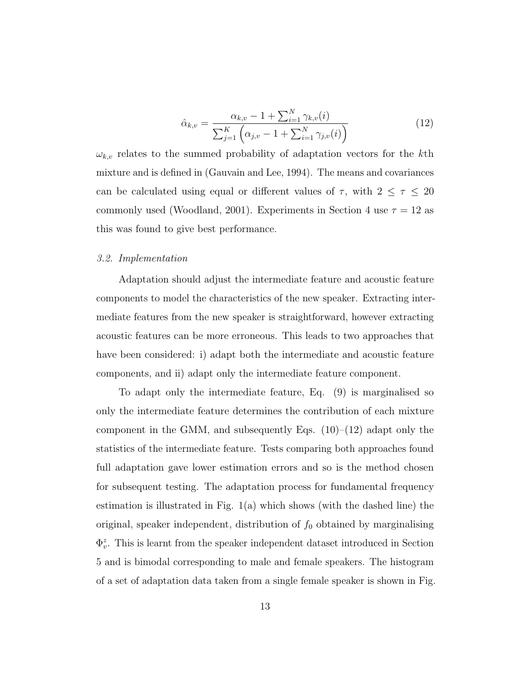$$
\hat{\alpha}_{k,v} = \frac{\alpha_{k,v} - 1 + \sum_{i=1}^{N} \gamma_{k,v}(i)}{\sum_{j=1}^{K} \left( \alpha_{j,v} - 1 + \sum_{i=1}^{N} \gamma_{j,v}(i) \right)}
$$
(12)

 $\omega_{k,v}$  relates to the summed probability of adaptation vectors for the kth mixture and is defined in (Gauvain and Lee, 1994). The means and covariances can be calculated using equal or different values of  $\tau$ , with  $2 \leq \tau \leq 20$ commonly used (Woodland, 2001). Experiments in Section 4 use  $\tau = 12$  as this was found to give best performance.

### 3.2. Implementation

Adaptation should adjust the intermediate feature and acoustic feature components to model the characteristics of the new speaker. Extracting intermediate features from the new speaker is straightforward, however extracting acoustic features can be more erroneous. This leads to two approaches that have been considered: i) adapt both the intermediate and acoustic feature components, and ii) adapt only the intermediate feature component.

To adapt only the intermediate feature, Eq. (9) is marginalised so only the intermediate feature determines the contribution of each mixture component in the GMM, and subsequently Eqs.  $(10)$ – $(12)$  adapt only the statistics of the intermediate feature. Tests comparing both approaches found full adaptation gave lower estimation errors and so is the method chosen for subsequent testing. The adaptation process for fundamental frequency estimation is illustrated in Fig. 1(a) which shows (with the dashed line) the original, speaker independent, distribution of  $f_0$  obtained by marginalising  $\Phi_v^z$ . This is learnt from the speaker independent dataset introduced in Section 5 and is bimodal corresponding to male and female speakers. The histogram of a set of adaptation data taken from a single female speaker is shown in Fig.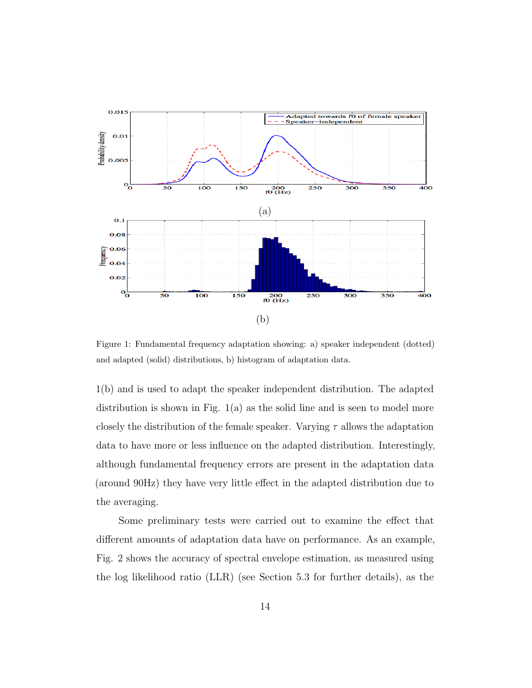

Figure 1: Fundamental frequency adaptation showing: a) speaker independent (dotted) and adapted (solid) distributions, b) histogram of adaptation data.

1(b) and is used to adapt the speaker independent distribution. The adapted distribution is shown in Fig.  $1(a)$  as the solid line and is seen to model more closely the distribution of the female speaker. Varying  $\tau$  allows the adaptation data to have more or less influence on the adapted distribution. Interestingly, although fundamental frequency errors are present in the adaptation data (around 90Hz) they have very little effect in the adapted distribution due to the averaging.

Some preliminary tests were carried out to examine the effect that different amounts of adaptation data have on performance. As an example, Fig. 2 shows the accuracy of spectral envelope estimation, as measured using the log likelihood ratio (LLR) (see Section 5.3 for further details), as the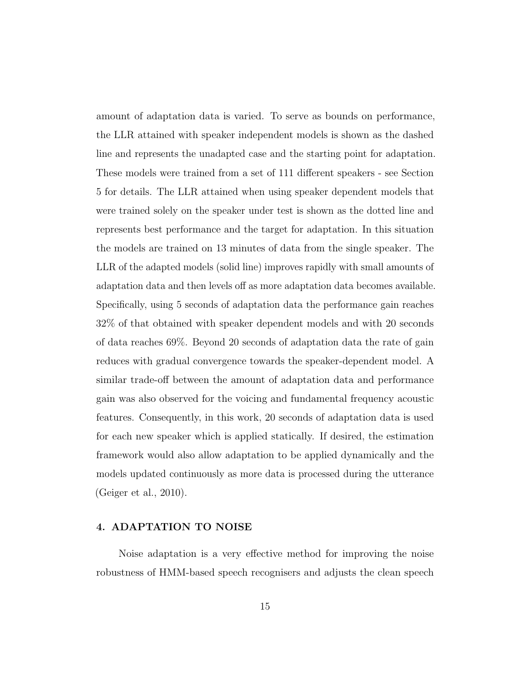amount of adaptation data is varied. To serve as bounds on performance, the LLR attained with speaker independent models is shown as the dashed line and represents the unadapted case and the starting point for adaptation. These models were trained from a set of 111 different speakers - see Section 5 for details. The LLR attained when using speaker dependent models that were trained solely on the speaker under test is shown as the dotted line and represents best performance and the target for adaptation. In this situation the models are trained on 13 minutes of data from the single speaker. The LLR of the adapted models (solid line) improves rapidly with small amounts of adaptation data and then levels off as more adaptation data becomes available. Specifically, using 5 seconds of adaptation data the performance gain reaches 32% of that obtained with speaker dependent models and with 20 seconds of data reaches 69%. Beyond 20 seconds of adaptation data the rate of gain reduces with gradual convergence towards the speaker-dependent model. A similar trade-off between the amount of adaptation data and performance gain was also observed for the voicing and fundamental frequency acoustic features. Consequently, in this work, 20 seconds of adaptation data is used for each new speaker which is applied statically. If desired, the estimation framework would also allow adaptation to be applied dynamically and the models updated continuously as more data is processed during the utterance (Geiger et al., 2010).

## 4. ADAPTATION TO NOISE

Noise adaptation is a very effective method for improving the noise robustness of HMM-based speech recognisers and adjusts the clean speech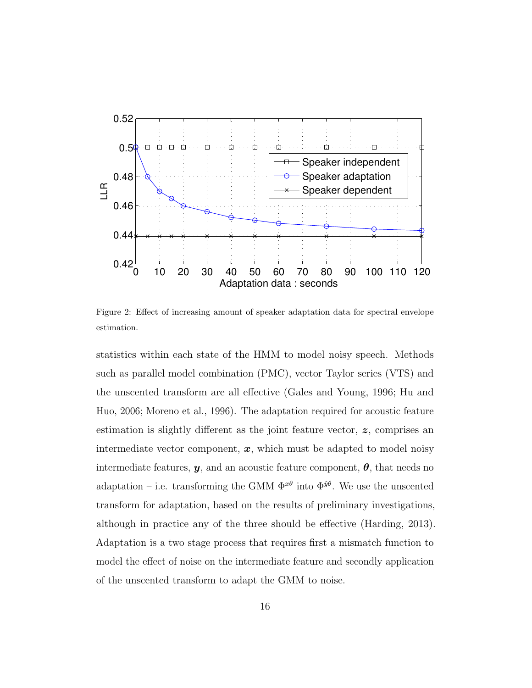

Figure 2: Effect of increasing amount of speaker adaptation data for spectral envelope estimation.

statistics within each state of the HMM to model noisy speech. Methods such as parallel model combination (PMC), vector Taylor series (VTS) and the unscented transform are all effective (Gales and Young, 1996; Hu and Huo, 2006; Moreno et al., 1996). The adaptation required for acoustic feature estimation is slightly different as the joint feature vector, z, comprises an intermediate vector component,  $x$ , which must be adapted to model noisy intermediate features,  $y$ , and an acoustic feature component,  $\theta$ , that needs no adaptation – i.e. transforming the GMM  $\Phi^{x\theta}$  into  $\Phi^{\hat{y}\theta}$ . We use the unscented transform for adaptation, based on the results of preliminary investigations, although in practice any of the three should be effective (Harding, 2013). Adaptation is a two stage process that requires first a mismatch function to model the effect of noise on the intermediate feature and secondly application of the unscented transform to adapt the GMM to noise.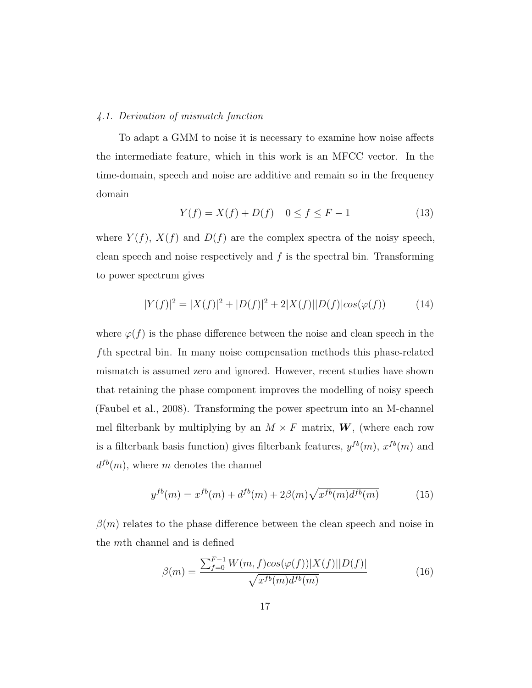#### 4.1. Derivation of mismatch function

To adapt a GMM to noise it is necessary to examine how noise affects the intermediate feature, which in this work is an MFCC vector. In the time-domain, speech and noise are additive and remain so in the frequency domain

$$
Y(f) = X(f) + D(f) \quad 0 \le f \le F - 1 \tag{13}
$$

where  $Y(f)$ ,  $X(f)$  and  $D(f)$  are the complex spectra of the noisy speech, clean speech and noise respectively and  $f$  is the spectral bin. Transforming to power spectrum gives

$$
|Y(f)|^2 = |X(f)|^2 + |D(f)|^2 + 2|X(f)||D(f)|\cos(\varphi(f))\tag{14}
$$

where  $\varphi(f)$  is the phase difference between the noise and clean speech in the fth spectral bin. In many noise compensation methods this phase-related mismatch is assumed zero and ignored. However, recent studies have shown that retaining the phase component improves the modelling of noisy speech (Faubel et al., 2008). Transforming the power spectrum into an M-channel mel filterbank by multiplying by an  $M \times F$  matrix, **W**, (where each row is a filterbank basis function) gives filterbank features,  $y^{fb}(m)$ ,  $x^{fb}(m)$  and  $d^{fb}(m)$ , where m denotes the channel

$$
y^{fb}(m) = x^{fb}(m) + d^{fb}(m) + 2\beta(m)\sqrt{x^{fb}(m)d^{fb}(m)}
$$
(15)

 $\beta(m)$  relates to the phase difference between the clean speech and noise in the mth channel and is defined

$$
\beta(m) = \frac{\sum_{f=0}^{F-1} W(m, f) \cos(\varphi(f)) |X(f)||D(f)|}{\sqrt{x^{fb}(m)} d^{fb}(m)} \tag{16}
$$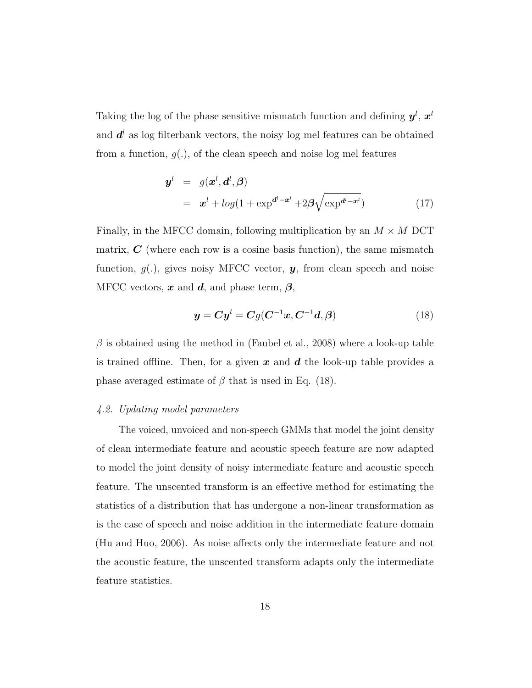Taking the log of the phase sensitive mismatch function and defining  $y^l, x^l$ and  $d^{l}$  as log filterbank vectors, the noisy log mel features can be obtained from a function,  $g(.)$ , of the clean speech and noise log mel features

$$
\mathbf{y}^{l} = g(\mathbf{x}^{l}, \mathbf{d}^{l}, \boldsymbol{\beta})
$$

$$
= \mathbf{x}^{l} + log(1 + \exp^{d^{l} - \mathbf{x}^{l}} + 2\boldsymbol{\beta}\sqrt{\exp^{d^{l} - \mathbf{x}^{l}}})
$$
(17)

Finally, in the MFCC domain, following multiplication by an  $M \times M$  DCT matrix,  $C$  (where each row is a cosine basis function), the same mismatch function,  $g(.)$ , gives noisy MFCC vector,  $y$ , from clean speech and noise MFCC vectors,  $x$  and  $d$ , and phase term,  $\beta$ ,

$$
\mathbf{y} = \mathbf{C}\mathbf{y}^l = \mathbf{C}g(\mathbf{C}^{-1}\mathbf{x}, \mathbf{C}^{-1}\mathbf{d}, \boldsymbol{\beta})
$$
(18)

 $\beta$  is obtained using the method in (Faubel et al., 2008) where a look-up table is trained offline. Then, for a given x and  $d$  the look-up table provides a phase averaged estimate of  $\beta$  that is used in Eq. (18).

## 4.2. Updating model parameters

The voiced, unvoiced and non-speech GMMs that model the joint density of clean intermediate feature and acoustic speech feature are now adapted to model the joint density of noisy intermediate feature and acoustic speech feature. The unscented transform is an effective method for estimating the statistics of a distribution that has undergone a non-linear transformation as is the case of speech and noise addition in the intermediate feature domain (Hu and Huo, 2006). As noise affects only the intermediate feature and not the acoustic feature, the unscented transform adapts only the intermediate feature statistics.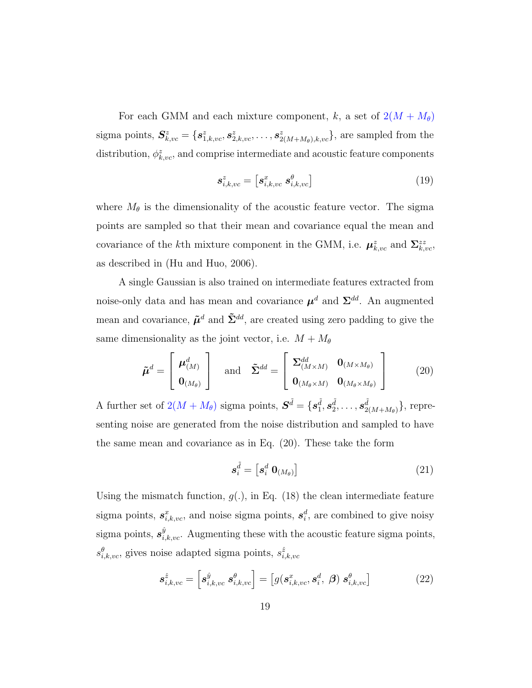For each GMM and each mixture component, k, a set of  $2(M + M_{\theta})$ sigma points,  $S_{k,vc}^z = \{s_{1,k,vc}^z, s_{2,k,vc}^z, \ldots, s_{2(M+M_\theta),k,vc}^z\}$ , are sampled from the distribution,  $\phi_{k,vc}^z$ , and comprise intermediate and acoustic feature components

$$
\mathbf{s}_{i,k,vc}^z = \left[\mathbf{s}_{i,k,vc}^x \; \mathbf{s}_{i,k,vc}^\theta\right] \tag{19}
$$

where  $M_{\theta}$  is the dimensionality of the acoustic feature vector. The sigma points are sampled so that their mean and covariance equal the mean and covariance of the kth mixture component in the GMM, i.e.  $\mu_{k,vc}^z$  and  $\Sigma_{k,vc}^{zz}$ , as described in (Hu and Huo, 2006).

A single Gaussian is also trained on intermediate features extracted from noise-only data and has mean and covariance  $\mu^d$  and  $\Sigma^{dd}$ . An augmented mean and covariance,  $\tilde{\mu}^d$  and  $\tilde{\Sigma}^{dd}$ , are created using zero padding to give the same dimensionality as the joint vector, i.e.  $M + M_{\theta}$ 

$$
\tilde{\boldsymbol{\mu}}^d = \begin{bmatrix} \boldsymbol{\mu}_{(M)}^d \\ \mathbf{0}_{(M_{\theta})} \end{bmatrix} \quad \text{and} \quad \tilde{\boldsymbol{\Sigma}}^{dd} = \begin{bmatrix} \boldsymbol{\Sigma}_{(M \times M)}^d & \mathbf{0}_{(M \times M_{\theta})} \\ \mathbf{0}_{(M_{\theta} \times M)} & \mathbf{0}_{(M_{\theta} \times M_{\theta})} \end{bmatrix}
$$
(20)

A further set of  $2(M + M_{\theta})$  sigma points,  $\mathbf{S}^{\tilde{d}} = \{s_1^{\tilde{d}}, s_2^{\tilde{d}}, \dots, s_{2l}^{\tilde{d}}\}$  $_{2(M+M_\theta)}^d\},\,\rm repre$ senting noise are generated from the noise distribution and sampled to have the same mean and covariance as in Eq. (20). These take the form

$$
\mathbf{s}_i^{\tilde{d}} = \left[ \mathbf{s}_i^d \ \mathbf{0}_{(M_\theta)} \right] \tag{21}
$$

Using the mismatch function,  $g(.)$ , in Eq. (18) the clean intermediate feature sigma points,  $s_{i,k,vc}^x$ , and noise sigma points,  $s_i^d$ , are combined to give noisy sigma points,  $s_{i,k,vc}^{\hat{y}}$ . Augmenting these with the acoustic feature sigma points,  $s^{\theta}_{i,k,vc}$ , gives noise adapted sigma points,  $s^{\hat{z}}_{i,k,vc}$ 

$$
\mathbf{s}_{i,k,vc}^{\hat{z}} = \left[\mathbf{s}_{i,k,vc}^{\hat{y}} \ \mathbf{s}_{i,k,vc}^{\theta}\right] = \left[g(\mathbf{s}_{i,k,vc}^x, \mathbf{s}_i^d, \ \boldsymbol{\beta}) \ \mathbf{s}_{i,k,vc}^{\theta}\right]
$$
 (22)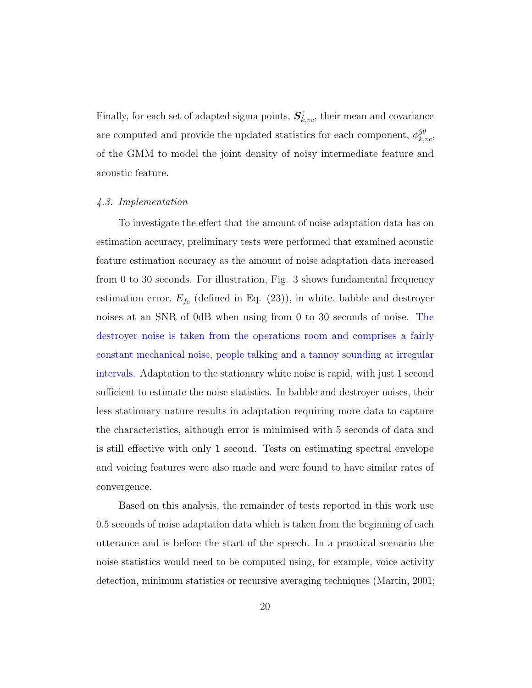Finally, for each set of adapted sigma points,  $S_{k,vc}^{\hat{z}}$ , their mean and covariance are computed and provide the updated statistics for each component,  $\phi_{k,vc}^{\hat{y}\hat{\theta}}$ , of the GMM to model the joint density of noisy intermediate feature and acoustic feature.

#### 4.3. Implementation

To investigate the effect that the amount of noise adaptation data has on estimation accuracy, preliminary tests were performed that examined acoustic feature estimation accuracy as the amount of noise adaptation data increased from 0 to 30 seconds. For illustration, Fig. 3 shows fundamental frequency estimation error,  $E_{f_0}$  (defined in Eq. (23)), in white, babble and destroyer noises at an SNR of 0dB when using from 0 to 30 seconds of noise. The destroyer noise is taken from the operations room and comprises a fairly constant mechanical noise, people talking and a tannoy sounding at irregular intervals. Adaptation to the stationary white noise is rapid, with just 1 second sufficient to estimate the noise statistics. In babble and destroyer noises, their less stationary nature results in adaptation requiring more data to capture the characteristics, although error is minimised with 5 seconds of data and is still effective with only 1 second. Tests on estimating spectral envelope and voicing features were also made and were found to have similar rates of convergence.

Based on this analysis, the remainder of tests reported in this work use 0.5 seconds of noise adaptation data which is taken from the beginning of each utterance and is before the start of the speech. In a practical scenario the noise statistics would need to be computed using, for example, voice activity detection, minimum statistics or recursive averaging techniques (Martin, 2001;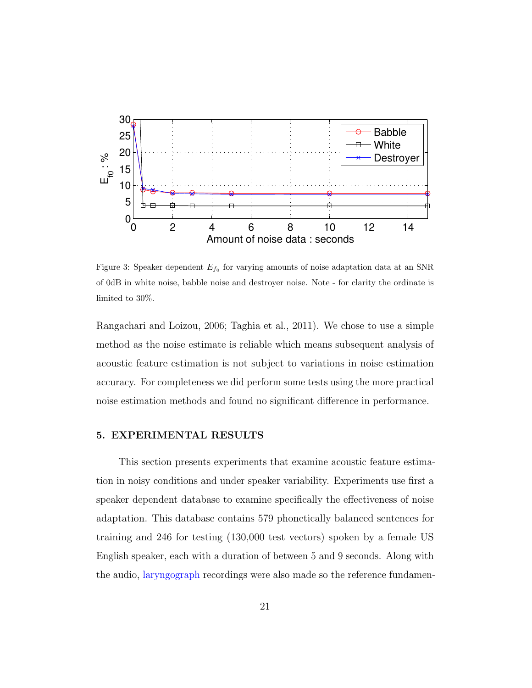

Figure 3: Speaker dependent  $E_{f_0}$  for varying amounts of noise adaptation data at an SNR of 0dB in white noise, babble noise and destroyer noise. Note - for clarity the ordinate is limited to 30%.

Rangachari and Loizou, 2006; Taghia et al., 2011). We chose to use a simple method as the noise estimate is reliable which means subsequent analysis of acoustic feature estimation is not subject to variations in noise estimation accuracy. For completeness we did perform some tests using the more practical noise estimation methods and found no significant difference in performance.

# 5. EXPERIMENTAL RESULTS

This section presents experiments that examine acoustic feature estimation in noisy conditions and under speaker variability. Experiments use first a speaker dependent database to examine specifically the effectiveness of noise adaptation. This database contains 579 phonetically balanced sentences for training and 246 for testing (130,000 test vectors) spoken by a female US English speaker, each with a duration of between 5 and 9 seconds. Along with the audio, laryngograph recordings were also made so the reference fundamen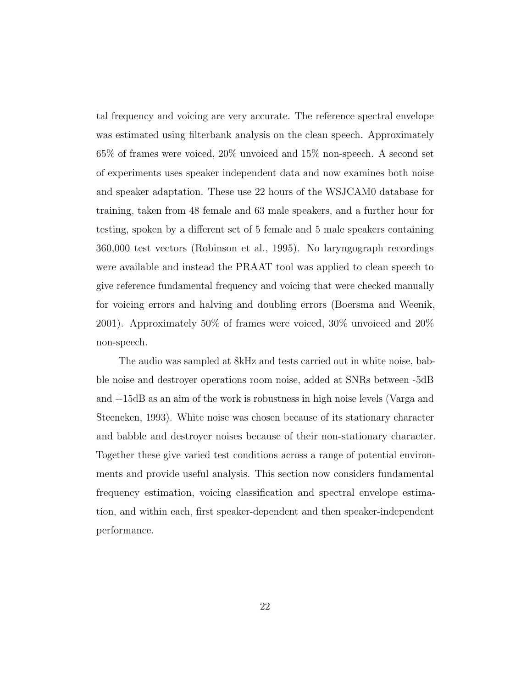tal frequency and voicing are very accurate. The reference spectral envelope was estimated using filterbank analysis on the clean speech. Approximately 65% of frames were voiced, 20% unvoiced and 15% non-speech. A second set of experiments uses speaker independent data and now examines both noise and speaker adaptation. These use 22 hours of the WSJCAM0 database for training, taken from 48 female and 63 male speakers, and a further hour for testing, spoken by a different set of 5 female and 5 male speakers containing 360,000 test vectors (Robinson et al., 1995). No laryngograph recordings were available and instead the PRAAT tool was applied to clean speech to give reference fundamental frequency and voicing that were checked manually for voicing errors and halving and doubling errors (Boersma and Weenik, 2001). Approximately 50% of frames were voiced, 30% unvoiced and 20% non-speech.

The audio was sampled at 8kHz and tests carried out in white noise, babble noise and destroyer operations room noise, added at SNRs between -5dB and +15dB as an aim of the work is robustness in high noise levels (Varga and Steeneken, 1993). White noise was chosen because of its stationary character and babble and destroyer noises because of their non-stationary character. Together these give varied test conditions across a range of potential environments and provide useful analysis. This section now considers fundamental frequency estimation, voicing classification and spectral envelope estimation, and within each, first speaker-dependent and then speaker-independent performance.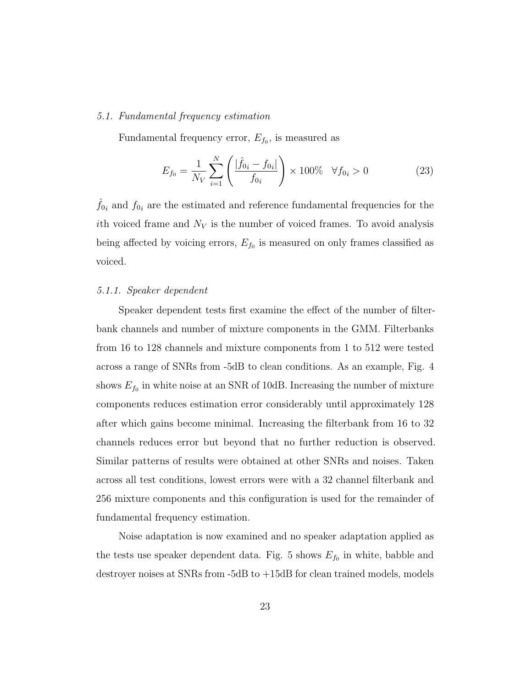## 5.1. Fundamental frequency estimation

Fundamental frequency error,  $E_{f_0}$ , is measured as

$$
E_{f_0} = \frac{1}{N_V} \sum_{i=1}^{N} \left( \frac{|\hat{f}_{0i} - f_{0i}|}{f_{0i}} \right) \times 100\% \quad \forall f_{0i} > 0 \tag{23}
$$

 $\hat{f}_{0i}$  and  $f_{0i}$  are the estimated and reference fundamental frequencies for the ith voiced frame and  $N_V$  is the number of voiced frames. To avoid analysis being affected by voicing errors,  $E_{f_0}$  is measured on only frames classified as voiced.

## 5.1.1. Speaker dependent

Speaker dependent tests first examine the effect of the number of filterbank channels and number of mixture components in the GMM. Filterbanks from 16 to 128 channels and mixture components from 1 to 512 were tested across a range of SNRs from -5dB to clean conditions. As an example, Fig. 4 shows  $E_{f_0}$  in white noise at an SNR of 10dB. Increasing the number of mixture components reduces estimation error considerably until approximately 128 after which gains become minimal. Increasing the filterbank from 16 to 32 channels reduces error but beyond that no further reduction is observed. Similar patterns of results were obtained at other SNRs and noises. Taken across all test conditions, lowest errors were with a 32 channel filterbank and 256 mixture components and this configuration is used for the remainder of fundamental frequency estimation.

Noise adaptation is now examined and no speaker adaptation applied as the tests use speaker dependent data. Fig. 5 shows  $E_{f_0}$  in white, babble and destroyer noises at SNRs from -5dB to +15dB for clean trained models, models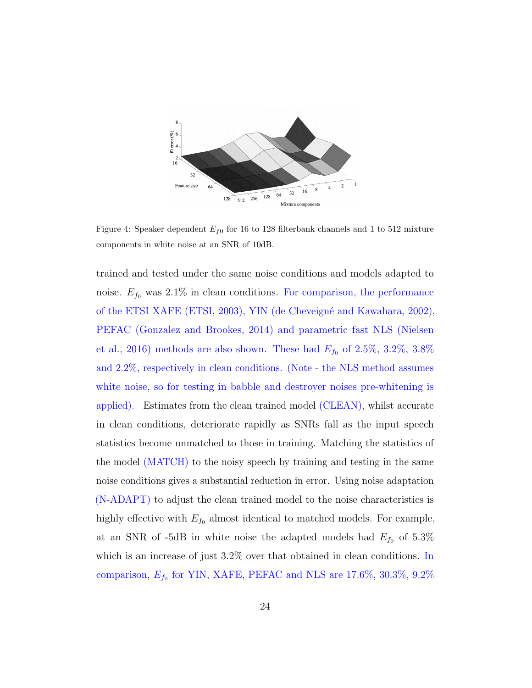

Figure 4: Speaker dependent  $E_{f0}$  for 16 to 128 filterbank channels and 1 to 512 mixture components in white noise at an SNR of 10dB.

trained and tested under the same noise conditions and models adapted to noise.  $E_{f_0}$  was 2.1% in clean conditions. For comparison, the performance of the ETSI XAFE (ETSI, 2003), YIN (de Cheveign´e and Kawahara, 2002), PEFAC (Gonzalez and Brookes, 2014) and parametric fast NLS (Nielsen et al., 2016) methods are also shown. These had  $E_{f_0}$  of 2.5%, 3.2%, 3.8% and 2.2%, respectively in clean conditions. (Note - the NLS method assumes white noise, so for testing in babble and destroyer noises pre-whitening is applied). Estimates from the clean trained model (CLEAN), whilst accurate in clean conditions, deteriorate rapidly as SNRs fall as the input speech statistics become unmatched to those in training. Matching the statistics of the model (MATCH) to the noisy speech by training and testing in the same noise conditions gives a substantial reduction in error. Using noise adaptation (N-ADAPT) to adjust the clean trained model to the noise characteristics is highly effective with  $E_{f_0}$  almost identical to matched models. For example, at an SNR of -5dB in white noise the adapted models had  $E_{f_0}$  of 5.3% which is an increase of just 3.2% over that obtained in clean conditions. In comparison,  $E_{f_0}$  for YIN, XAFE, PEFAC and NLS are 17.6%, 30.3%, 9.2%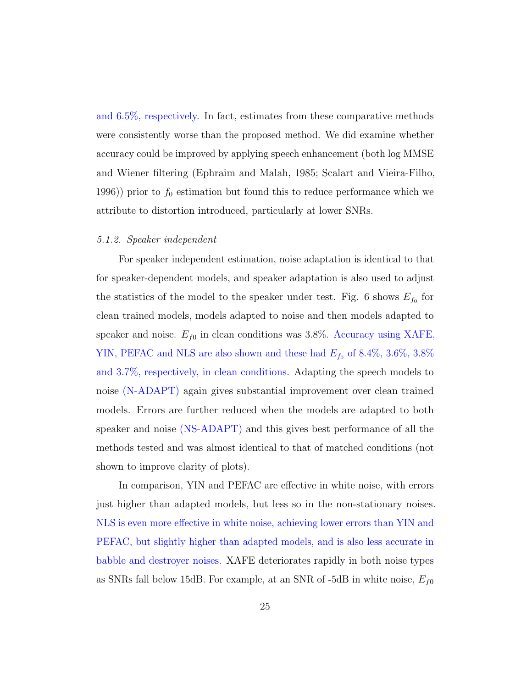and 6.5%, respectively. In fact, estimates from these comparative methods were consistently worse than the proposed method. We did examine whether accuracy could be improved by applying speech enhancement (both log MMSE and Wiener filtering (Ephraim and Malah, 1985; Scalart and Vieira-Filho, 1996)) prior to  $f_0$  estimation but found this to reduce performance which we attribute to distortion introduced, particularly at lower SNRs.

#### 5.1.2. Speaker independent

For speaker independent estimation, noise adaptation is identical to that for speaker-dependent models, and speaker adaptation is also used to adjust the statistics of the model to the speaker under test. Fig. 6 shows  $E_{f_0}$  for clean trained models, models adapted to noise and then models adapted to speaker and noise.  $E_{f0}$  in clean conditions was 3.8%. Accuracy using XAFE, YIN, PEFAC and NLS are also shown and these had  $E_{f_0}$  of 8.4%, 3.6%, 3.8% and 3.7%, respectively, in clean conditions. Adapting the speech models to noise (N-ADAPT) again gives substantial improvement over clean trained models. Errors are further reduced when the models are adapted to both speaker and noise (NS-ADAPT) and this gives best performance of all the methods tested and was almost identical to that of matched conditions (not shown to improve clarity of plots).

In comparison, YIN and PEFAC are effective in white noise, with errors just higher than adapted models, but less so in the non-stationary noises. NLS is even more effective in white noise, achieving lower errors than YIN and PEFAC, but slightly higher than adapted models, and is also less accurate in babble and destroyer noises. XAFE deteriorates rapidly in both noise types as SNRs fall below 15dB. For example, at an SNR of -5dB in white noise,  $E_{f0}$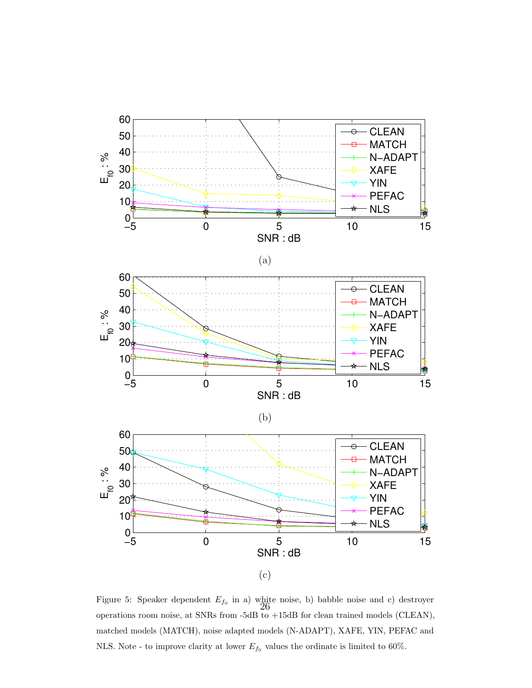

Figure 5: Speaker dependent  $E_{f_0}$  in a) white noise, b) babble noise and c) destroyer operations room noise, at SNRs from -5dB to +15dB for clean trained models (CLEAN), matched models (MATCH), noise adapted models (N-ADAPT), XAFE, YIN, PEFAC and NLS. Note - to improve clarity at lower  $E_{f_0}$  values the ordinate is limited to 60%.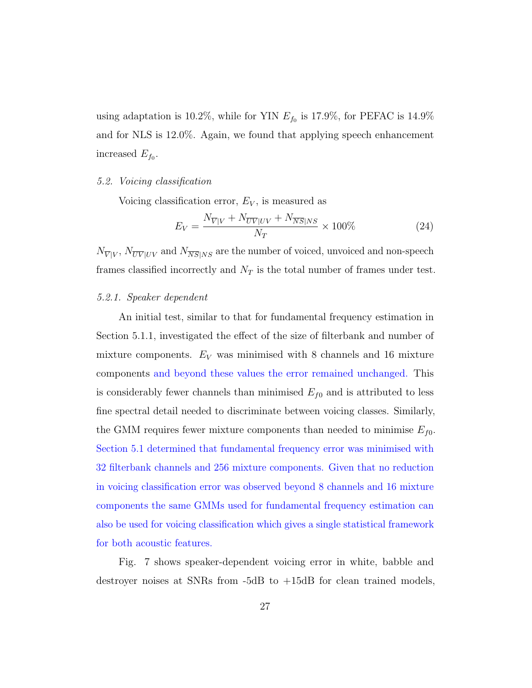using adaptation is 10.2%, while for YIN  $E_{f_0}$  is 17.9%, for PEFAC is 14.9% and for NLS is 12.0%. Again, we found that applying speech enhancement increased  $E_{f_0}$ .

## 5.2. Voicing classification

Voicing classification error,  $E_V$ , is measured as

$$
E_V = \frac{N_{\overline{V}|V} + N_{\overline{UV}|UV} + N_{\overline{NS}|NS}}{N_T} \times 100\% \tag{24}
$$

 $N_{\overline{V}|V}$ ,  $N_{\overline{UV}|UV}$  and  $N_{\overline{NS}|NS}$  are the number of voiced, unvoiced and non-speech frames classified incorrectly and  $N_T$  is the total number of frames under test.

## 5.2.1. Speaker dependent

An initial test, similar to that for fundamental frequency estimation in Section 5.1.1, investigated the effect of the size of filterbank and number of mixture components.  $E_V$  was minimised with 8 channels and 16 mixture components and beyond these values the error remained unchanged. This is considerably fewer channels than minimised  $E_{f0}$  and is attributed to less fine spectral detail needed to discriminate between voicing classes. Similarly, the GMM requires fewer mixture components than needed to minimise  $E_{f0}$ . Section 5.1 determined that fundamental frequency error was minimised with 32 filterbank channels and 256 mixture components. Given that no reduction in voicing classification error was observed beyond 8 channels and 16 mixture components the same GMMs used for fundamental frequency estimation can also be used for voicing classification which gives a single statistical framework for both acoustic features.

Fig. 7 shows speaker-dependent voicing error in white, babble and destroyer noises at SNRs from -5dB to +15dB for clean trained models,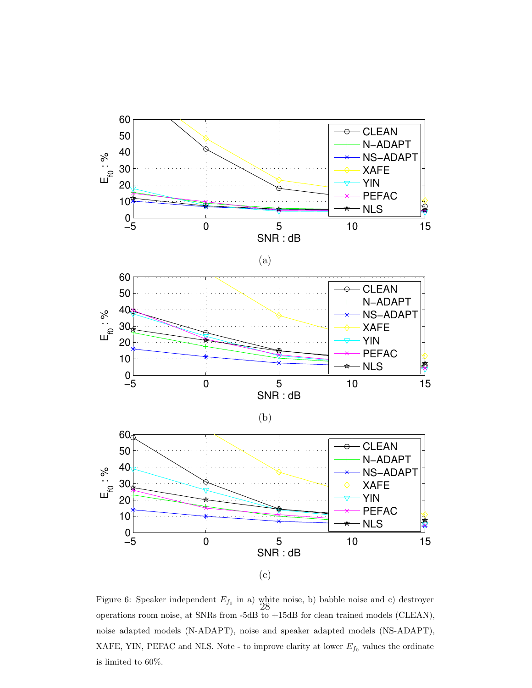

Figure 6: Speaker independent  $E_{f_0}$  in a) white noise, b) babble noise and c) destroyer operations room noise, at SNRs from -5dB to +15dB for clean trained models (CLEAN), noise adapted models (N-ADAPT), noise and speaker adapted models (NS-ADAPT), XAFE, YIN, PEFAC and NLS. Note - to improve clarity at lower  $E_{f_0}$  values the ordinate is limited to 60%.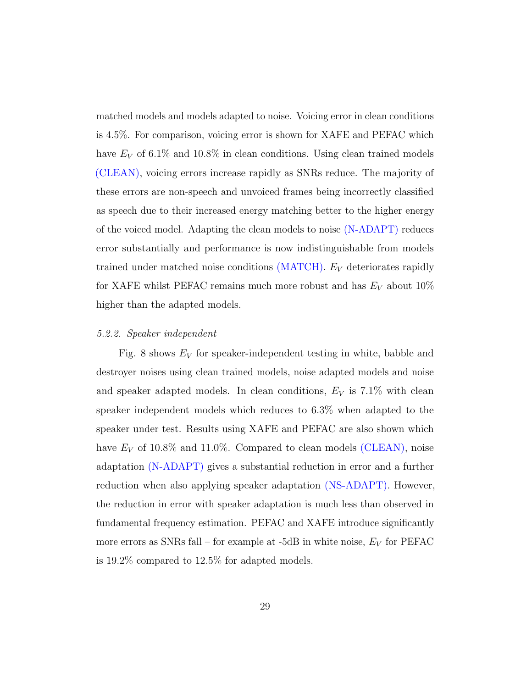matched models and models adapted to noise. Voicing error in clean conditions is 4.5%. For comparison, voicing error is shown for XAFE and PEFAC which have  $E_V$  of 6.1% and 10.8% in clean conditions. Using clean trained models (CLEAN), voicing errors increase rapidly as SNRs reduce. The majority of these errors are non-speech and unvoiced frames being incorrectly classified as speech due to their increased energy matching better to the higher energy of the voiced model. Adapting the clean models to noise (N-ADAPT) reduces error substantially and performance is now indistinguishable from models trained under matched noise conditions  $(MATCH)$ .  $E_V$  deteriorates rapidly for XAFE whilst PEFAC remains much more robust and has  $E_V$  about 10% higher than the adapted models.

#### 5.2.2. Speaker independent

Fig. 8 shows  $E_V$  for speaker-independent testing in white, babble and destroyer noises using clean trained models, noise adapted models and noise and speaker adapted models. In clean conditions,  $E_V$  is 7.1% with clean speaker independent models which reduces to 6.3% when adapted to the speaker under test. Results using XAFE and PEFAC are also shown which have  $E_V$  of 10.8% and 11.0%. Compared to clean models (CLEAN), noise adaptation (N-ADAPT) gives a substantial reduction in error and a further reduction when also applying speaker adaptation (NS-ADAPT). However, the reduction in error with speaker adaptation is much less than observed in fundamental frequency estimation. PEFAC and XAFE introduce significantly more errors as SNRs fall – for example at -5dB in white noise,  $E_V$  for PEFAC is 19.2% compared to 12.5% for adapted models.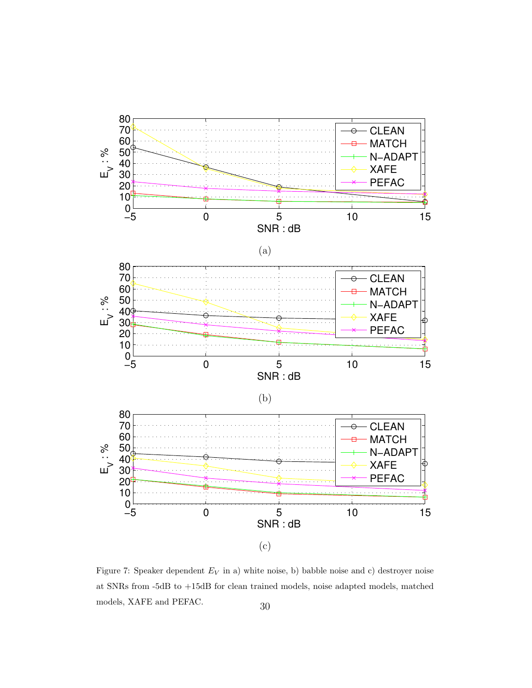

Figure 7: Speaker dependent  $E_V$  in a) white noise, b) babble noise and c) destroyer noise at SNRs from -5dB to +15dB for clean trained models, noise adapted models, matched % models, XAFE and PEFAC.  $$\rm 30$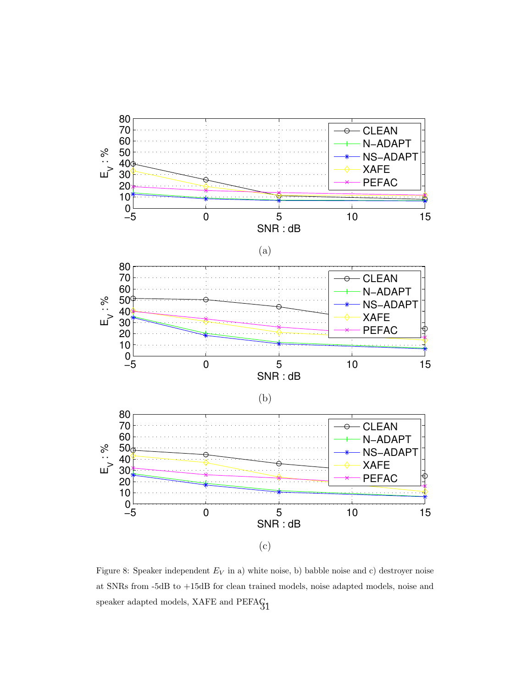

Figure 8: Speaker independent  $E_V$  in a) white noise, b) babble noise and c) destroyer noise at SNRs from -5dB to +15dB for clean trained models, noise adapted models, noise and speaker adapted models, XAFE and PEFA $G_1$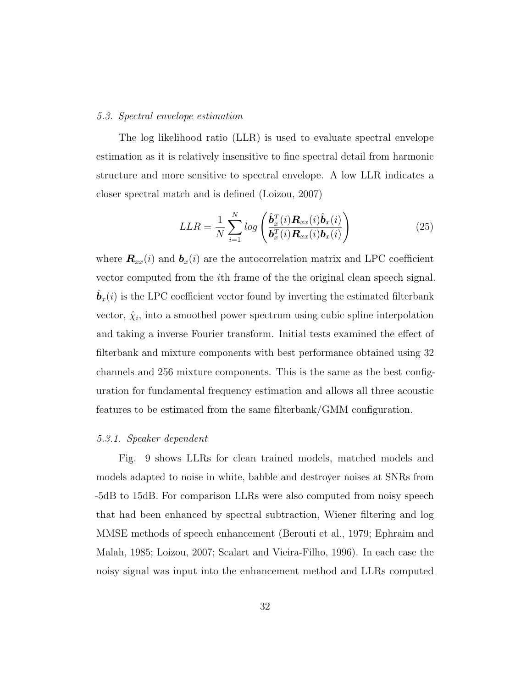#### 5.3. Spectral envelope estimation

The log likelihood ratio (LLR) is used to evaluate spectral envelope estimation as it is relatively insensitive to fine spectral detail from harmonic structure and more sensitive to spectral envelope. A low LLR indicates a closer spectral match and is defined (Loizou, 2007)

$$
LLR = \frac{1}{N} \sum_{i=1}^{N} log\left(\frac{\hat{\boldsymbol{b}}_x^T(i)\boldsymbol{R}_{xx}(i)\hat{\boldsymbol{b}}_x(i)}{\boldsymbol{b}_x^T(i)\boldsymbol{R}_{xx}(i)\boldsymbol{b}_x(i)}\right)
$$
(25)

where  $\mathbf{R}_{xx}(i)$  and  $\mathbf{b}_x(i)$  are the autocorrelation matrix and LPC coefficient vector computed from the ith frame of the the original clean speech signal.  $\hat{\mathbf{b}}_x(i)$  is the LPC coefficient vector found by inverting the estimated filterbank vector,  $\hat{\chi}_i$ , into a smoothed power spectrum using cubic spline interpolation and taking a inverse Fourier transform. Initial tests examined the effect of filterbank and mixture components with best performance obtained using 32 channels and 256 mixture components. This is the same as the best configuration for fundamental frequency estimation and allows all three acoustic features to be estimated from the same filterbank/GMM configuration.

#### 5.3.1. Speaker dependent

Fig. 9 shows LLRs for clean trained models, matched models and models adapted to noise in white, babble and destroyer noises at SNRs from -5dB to 15dB. For comparison LLRs were also computed from noisy speech that had been enhanced by spectral subtraction, Wiener filtering and log MMSE methods of speech enhancement (Berouti et al., 1979; Ephraim and Malah, 1985; Loizou, 2007; Scalart and Vieira-Filho, 1996). In each case the noisy signal was input into the enhancement method and LLRs computed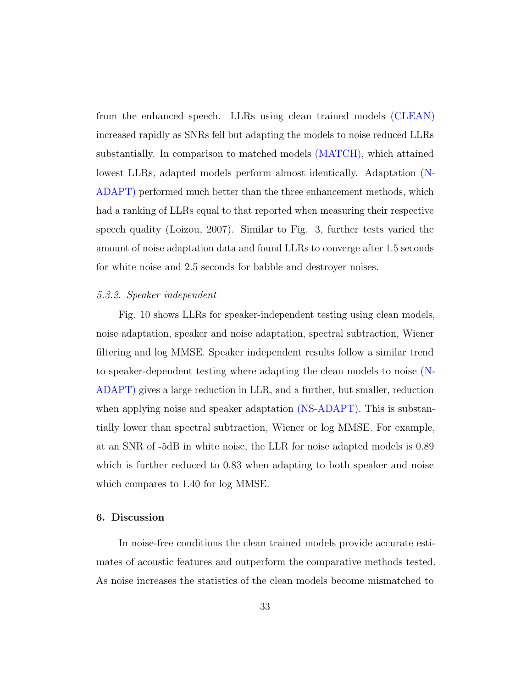from the enhanced speech. LLRs using clean trained models (CLEAN) increased rapidly as SNRs fell but adapting the models to noise reduced LLRs substantially. In comparison to matched models (MATCH), which attained lowest LLRs, adapted models perform almost identically. Adaptation (N-ADAPT) performed much better than the three enhancement methods, which had a ranking of LLRs equal to that reported when measuring their respective speech quality (Loizou, 2007). Similar to Fig. 3, further tests varied the amount of noise adaptation data and found LLRs to converge after 1.5 seconds for white noise and 2.5 seconds for babble and destroyer noises.

### 5.3.2. Speaker independent

Fig. 10 shows LLRs for speaker-independent testing using clean models, noise adaptation, speaker and noise adaptation, spectral subtraction, Wiener filtering and log MMSE. Speaker independent results follow a similar trend to speaker-dependent testing where adapting the clean models to noise (N-ADAPT) gives a large reduction in LLR, and a further, but smaller, reduction when applying noise and speaker adaptation (NS-ADAPT). This is substantially lower than spectral subtraction, Wiener or log MMSE. For example, at an SNR of -5dB in white noise, the LLR for noise adapted models is 0.89 which is further reduced to 0.83 when adapting to both speaker and noise which compares to 1.40 for log MMSE.

## 6. Discussion

In noise-free conditions the clean trained models provide accurate estimates of acoustic features and outperform the comparative methods tested. As noise increases the statistics of the clean models become mismatched to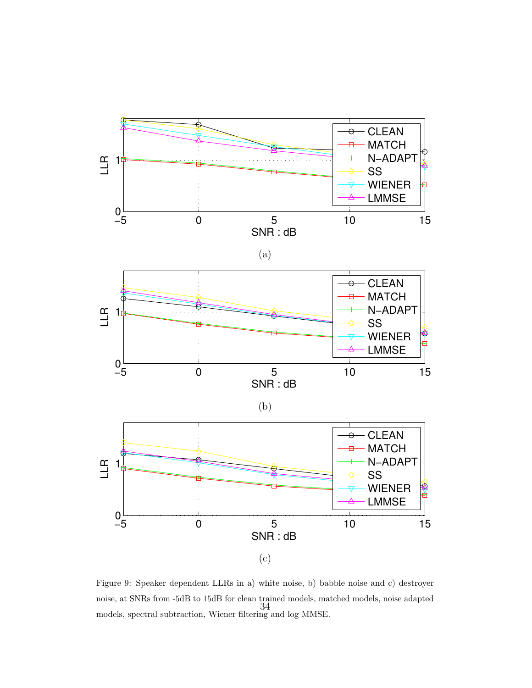

Figure 9: Speaker dependent LLRs in a) white noise, b) babble noise and c) destroyer noise, at SNRs from -5dB to 15dB for clean trained models, matched models, noise adapted models, spectral subtraction, Wiener filtering and log MMSE. 34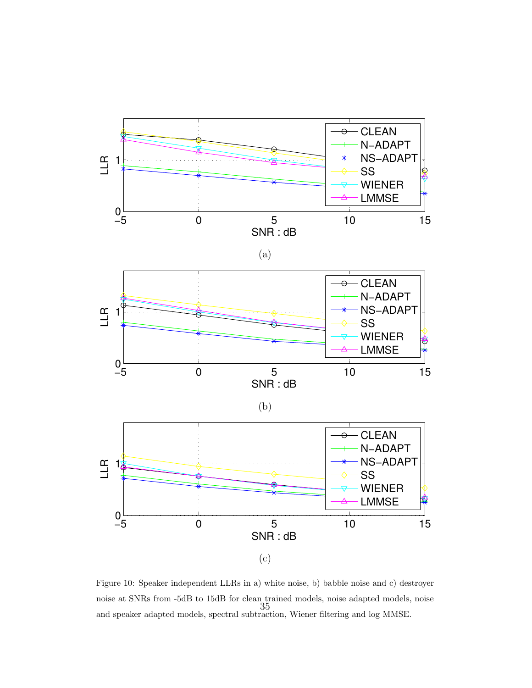

Figure 10: Speaker independent LLRs in a) white noise, b) babble noise and c) destroyer noise at SNRs from -5dB to 15dB for clean trained models, noise adapted models, noise and speaker adapted models, spectral subtraction, Wiener filtering and log MMSE. 35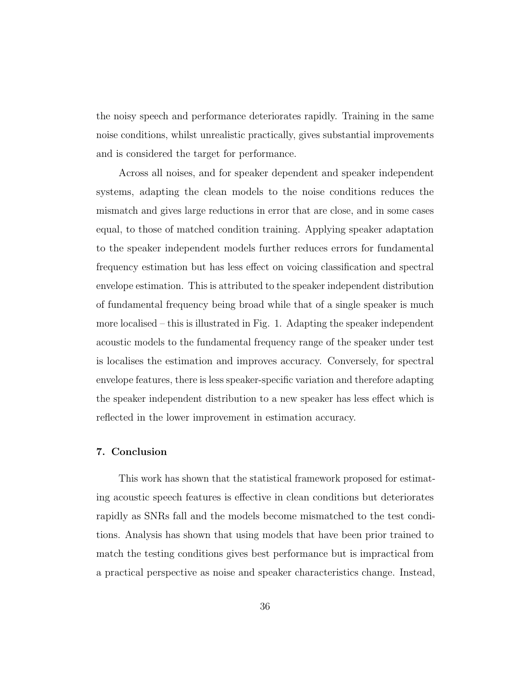the noisy speech and performance deteriorates rapidly. Training in the same noise conditions, whilst unrealistic practically, gives substantial improvements and is considered the target for performance.

Across all noises, and for speaker dependent and speaker independent systems, adapting the clean models to the noise conditions reduces the mismatch and gives large reductions in error that are close, and in some cases equal, to those of matched condition training. Applying speaker adaptation to the speaker independent models further reduces errors for fundamental frequency estimation but has less effect on voicing classification and spectral envelope estimation. This is attributed to the speaker independent distribution of fundamental frequency being broad while that of a single speaker is much more localised – this is illustrated in Fig. 1. Adapting the speaker independent acoustic models to the fundamental frequency range of the speaker under test is localises the estimation and improves accuracy. Conversely, for spectral envelope features, there is less speaker-specific variation and therefore adapting the speaker independent distribution to a new speaker has less effect which is reflected in the lower improvement in estimation accuracy.

#### 7. Conclusion

This work has shown that the statistical framework proposed for estimating acoustic speech features is effective in clean conditions but deteriorates rapidly as SNRs fall and the models become mismatched to the test conditions. Analysis has shown that using models that have been prior trained to match the testing conditions gives best performance but is impractical from a practical perspective as noise and speaker characteristics change. Instead,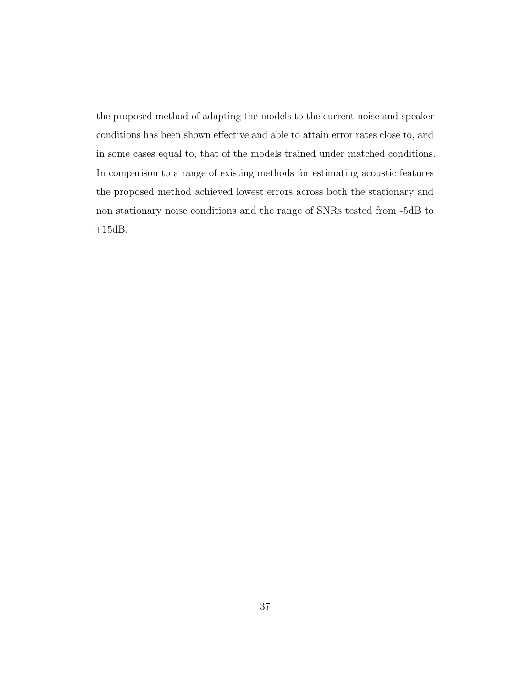the proposed method of adapting the models to the current noise and speaker conditions has been shown effective and able to attain error rates close to, and in some cases equal to, that of the models trained under matched conditions. In comparison to a range of existing methods for estimating acoustic features the proposed method achieved lowest errors across both the stationary and non stationary noise conditions and the range of SNRs tested from -5dB to  $+15dB.$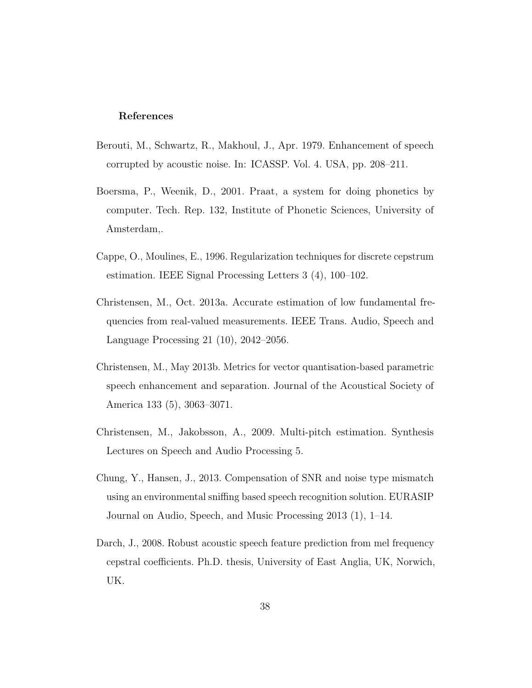#### References

- Berouti, M., Schwartz, R., Makhoul, J., Apr. 1979. Enhancement of speech corrupted by acoustic noise. In: ICASSP. Vol. 4. USA, pp. 208–211.
- Boersma, P., Weenik, D., 2001. Praat, a system for doing phonetics by computer. Tech. Rep. 132, Institute of Phonetic Sciences, University of Amsterdam,.
- Cappe, O., Moulines, E., 1996. Regularization techniques for discrete cepstrum estimation. IEEE Signal Processing Letters 3 (4), 100–102.
- Christensen, M., Oct. 2013a. Accurate estimation of low fundamental frequencies from real-valued measurements. IEEE Trans. Audio, Speech and Language Processing 21 (10), 2042–2056.
- Christensen, M., May 2013b. Metrics for vector quantisation-based parametric speech enhancement and separation. Journal of the Acoustical Society of America 133 (5), 3063–3071.
- Christensen, M., Jakobsson, A., 2009. Multi-pitch estimation. Synthesis Lectures on Speech and Audio Processing 5.
- Chung, Y., Hansen, J., 2013. Compensation of SNR and noise type mismatch using an environmental sniffing based speech recognition solution. EURASIP Journal on Audio, Speech, and Music Processing 2013 (1), 1–14.
- Darch, J., 2008. Robust acoustic speech feature prediction from mel frequency cepstral coefficients. Ph.D. thesis, University of East Anglia, UK, Norwich, UK.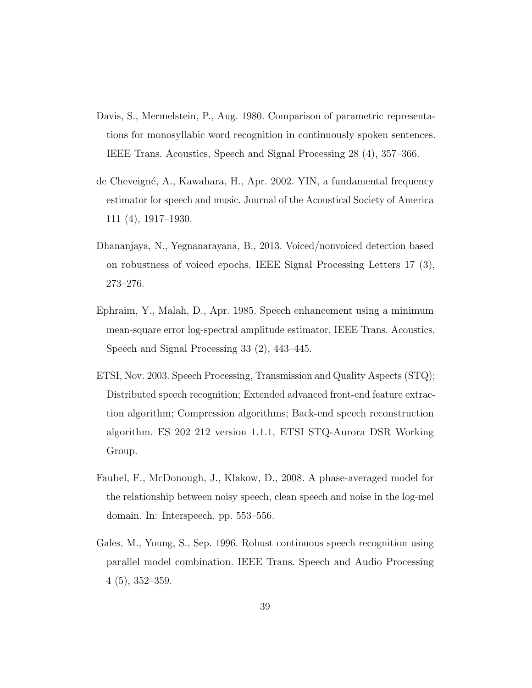- Davis, S., Mermelstein, P., Aug. 1980. Comparison of parametric representations for monosyllabic word recognition in continuously spoken sentences. IEEE Trans. Acoustics, Speech and Signal Processing 28 (4), 357–366.
- de Cheveign´e, A., Kawahara, H., Apr. 2002. YIN, a fundamental frequency estimator for speech and music. Journal of the Acoustical Society of America 111 (4), 1917–1930.
- Dhananjaya, N., Yegnanarayana, B., 2013. Voiced/nonvoiced detection based on robustness of voiced epochs. IEEE Signal Processing Letters 17 (3), 273–276.
- Ephraim, Y., Malah, D., Apr. 1985. Speech enhancement using a minimum mean-square error log-spectral amplitude estimator. IEEE Trans. Acoustics, Speech and Signal Processing 33 (2), 443–445.
- ETSI, Nov. 2003. Speech Processing, Transmission and Quality Aspects (STQ); Distributed speech recognition; Extended advanced front-end feature extraction algorithm; Compression algorithms; Back-end speech reconstruction algorithm. ES 202 212 version 1.1.1, ETSI STQ-Aurora DSR Working Group.
- Faubel, F., McDonough, J., Klakow, D., 2008. A phase-averaged model for the relationship between noisy speech, clean speech and noise in the log-mel domain. In: Interspeech. pp. 553–556.
- Gales, M., Young, S., Sep. 1996. Robust continuous speech recognition using parallel model combination. IEEE Trans. Speech and Audio Processing 4 (5), 352–359.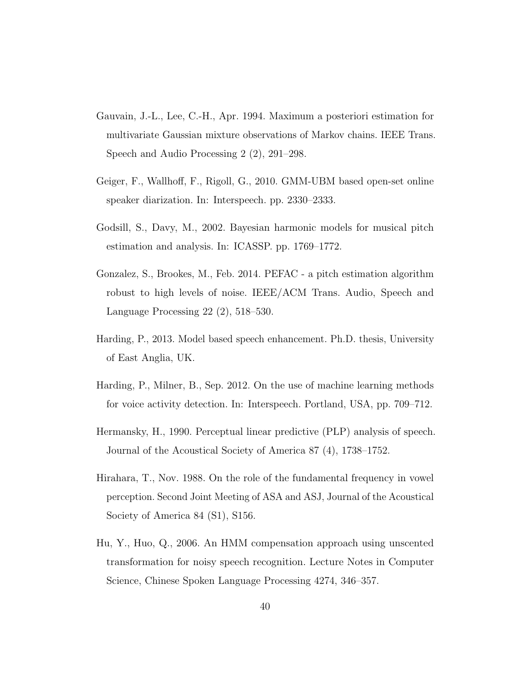- Gauvain, J.-L., Lee, C.-H., Apr. 1994. Maximum a posteriori estimation for multivariate Gaussian mixture observations of Markov chains. IEEE Trans. Speech and Audio Processing 2 (2), 291–298.
- Geiger, F., Wallhoff, F., Rigoll, G., 2010. GMM-UBM based open-set online speaker diarization. In: Interspeech. pp. 2330–2333.
- Godsill, S., Davy, M., 2002. Bayesian harmonic models for musical pitch estimation and analysis. In: ICASSP. pp. 1769–1772.
- Gonzalez, S., Brookes, M., Feb. 2014. PEFAC a pitch estimation algorithm robust to high levels of noise. IEEE/ACM Trans. Audio, Speech and Language Processing 22 (2), 518–530.
- Harding, P., 2013. Model based speech enhancement. Ph.D. thesis, University of East Anglia, UK.
- Harding, P., Milner, B., Sep. 2012. On the use of machine learning methods for voice activity detection. In: Interspeech. Portland, USA, pp. 709–712.
- Hermansky, H., 1990. Perceptual linear predictive (PLP) analysis of speech. Journal of the Acoustical Society of America 87 (4), 1738–1752.
- Hirahara, T., Nov. 1988. On the role of the fundamental frequency in vowel perception. Second Joint Meeting of ASA and ASJ, Journal of the Acoustical Society of America 84 (S1), S156.
- Hu, Y., Huo, Q., 2006. An HMM compensation approach using unscented transformation for noisy speech recognition. Lecture Notes in Computer Science, Chinese Spoken Language Processing 4274, 346–357.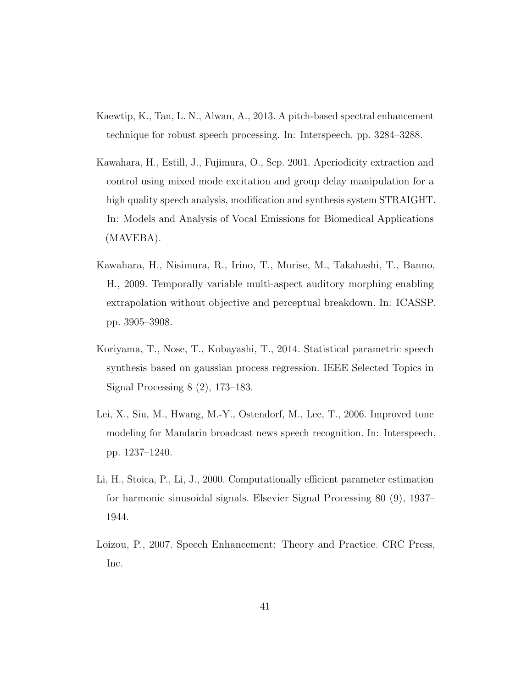- Kaewtip, K., Tan, L. N., Alwan, A., 2013. A pitch-based spectral enhancement technique for robust speech processing. In: Interspeech. pp. 3284–3288.
- Kawahara, H., Estill, J., Fujimura, O., Sep. 2001. Aperiodicity extraction and control using mixed mode excitation and group delay manipulation for a high quality speech analysis, modification and synthesis system STRAIGHT. In: Models and Analysis of Vocal Emissions for Biomedical Applications (MAVEBA).
- Kawahara, H., Nisimura, R., Irino, T., Morise, M., Takahashi, T., Banno, H., 2009. Temporally variable multi-aspect auditory morphing enabling extrapolation without objective and perceptual breakdown. In: ICASSP. pp. 3905–3908.
- Koriyama, T., Nose, T., Kobayashi, T., 2014. Statistical parametric speech synthesis based on gaussian process regression. IEEE Selected Topics in Signal Processing 8 (2), 173–183.
- Lei, X., Siu, M., Hwang, M.-Y., Ostendorf, M., Lee, T., 2006. Improved tone modeling for Mandarin broadcast news speech recognition. In: Interspeech. pp. 1237–1240.
- Li, H., Stoica, P., Li, J., 2000. Computationally efficient parameter estimation for harmonic sinusoidal signals. Elsevier Signal Processing 80 (9), 1937– 1944.
- Loizou, P., 2007. Speech Enhancement: Theory and Practice. CRC Press, Inc.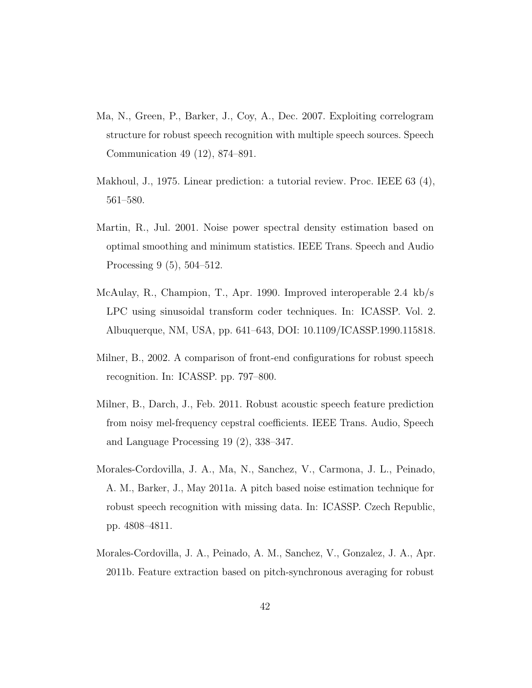- Ma, N., Green, P., Barker, J., Coy, A., Dec. 2007. Exploiting correlogram structure for robust speech recognition with multiple speech sources. Speech Communication 49 (12), 874–891.
- Makhoul, J., 1975. Linear prediction: a tutorial review. Proc. IEEE 63 (4), 561–580.
- Martin, R., Jul. 2001. Noise power spectral density estimation based on optimal smoothing and minimum statistics. IEEE Trans. Speech and Audio Processing 9 (5), 504–512.
- McAulay, R., Champion, T., Apr. 1990. Improved interoperable 2.4 kb/s LPC using sinusoidal transform coder techniques. In: ICASSP. Vol. 2. Albuquerque, NM, USA, pp. 641–643, DOI: 10.1109/ICASSP.1990.115818.
- Milner, B., 2002. A comparison of front-end configurations for robust speech recognition. In: ICASSP. pp. 797–800.
- Milner, B., Darch, J., Feb. 2011. Robust acoustic speech feature prediction from noisy mel-frequency cepstral coefficients. IEEE Trans. Audio, Speech and Language Processing 19 (2), 338–347.
- Morales-Cordovilla, J. A., Ma, N., Sanchez, V., Carmona, J. L., Peinado, A. M., Barker, J., May 2011a. A pitch based noise estimation technique for robust speech recognition with missing data. In: ICASSP. Czech Republic, pp. 4808–4811.
- Morales-Cordovilla, J. A., Peinado, A. M., Sanchez, V., Gonzalez, J. A., Apr. 2011b. Feature extraction based on pitch-synchronous averaging for robust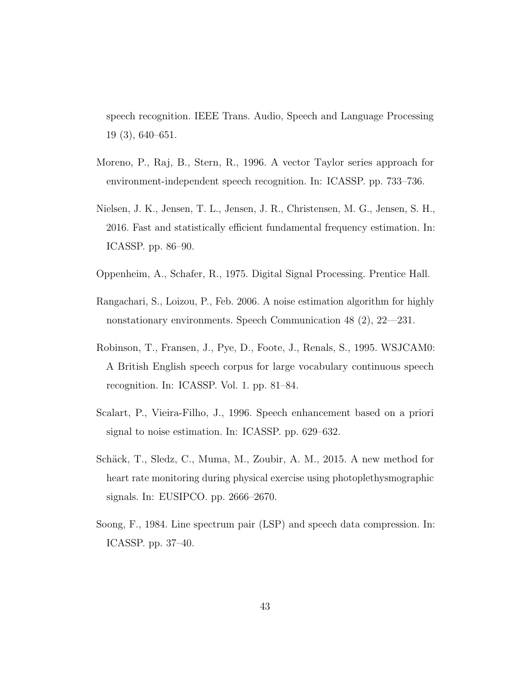speech recognition. IEEE Trans. Audio, Speech and Language Processing 19 (3), 640–651.

- Moreno, P., Raj, B., Stern, R., 1996. A vector Taylor series approach for environment-independent speech recognition. In: ICASSP. pp. 733–736.
- Nielsen, J. K., Jensen, T. L., Jensen, J. R., Christensen, M. G., Jensen, S. H., 2016. Fast and statistically efficient fundamental frequency estimation. In: ICASSP. pp. 86–90.
- Oppenheim, A., Schafer, R., 1975. Digital Signal Processing. Prentice Hall.
- Rangachari, S., Loizou, P., Feb. 2006. A noise estimation algorithm for highly nonstationary environments. Speech Communication 48 (2), 22—231.
- Robinson, T., Fransen, J., Pye, D., Foote, J., Renals, S., 1995. WSJCAM0: A British English speech corpus for large vocabulary continuous speech recognition. In: ICASSP. Vol. 1. pp. 81–84.
- Scalart, P., Vieira-Filho, J., 1996. Speech enhancement based on a priori signal to noise estimation. In: ICASSP. pp. 629–632.
- Schäck, T., Sledz, C., Muma, M., Zoubir, A. M., 2015. A new method for heart rate monitoring during physical exercise using photoplethysmographic signals. In: EUSIPCO. pp. 2666–2670.
- Soong, F., 1984. Line spectrum pair (LSP) and speech data compression. In: ICASSP. pp. 37–40.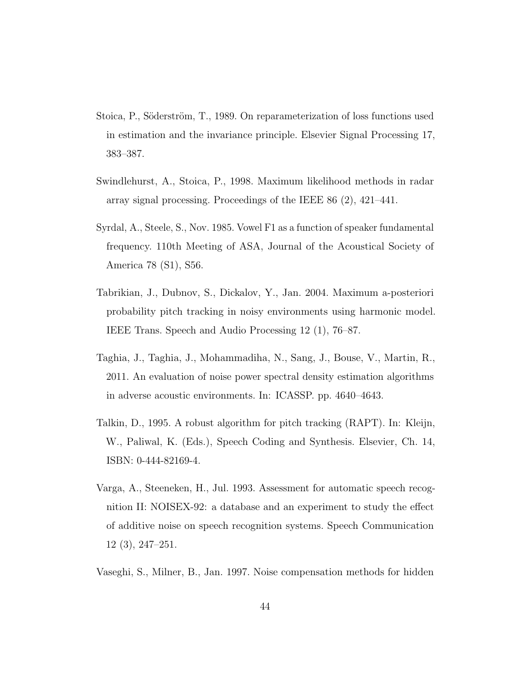- Stoica, P., Söderström, T., 1989. On reparameterization of loss functions used in estimation and the invariance principle. Elsevier Signal Processing 17, 383–387.
- Swindlehurst, A., Stoica, P., 1998. Maximum likelihood methods in radar array signal processing. Proceedings of the IEEE 86 (2), 421–441.
- Syrdal, A., Steele, S., Nov. 1985. Vowel F1 as a function of speaker fundamental frequency. 110th Meeting of ASA, Journal of the Acoustical Society of America 78 (S1), S56.
- Tabrikian, J., Dubnov, S., Dickalov, Y., Jan. 2004. Maximum a-posteriori probability pitch tracking in noisy environments using harmonic model. IEEE Trans. Speech and Audio Processing 12 (1), 76–87.
- Taghia, J., Taghia, J., Mohammadiha, N., Sang, J., Bouse, V., Martin, R., 2011. An evaluation of noise power spectral density estimation algorithms in adverse acoustic environments. In: ICASSP. pp. 4640–4643.
- Talkin, D., 1995. A robust algorithm for pitch tracking (RAPT). In: Kleijn, W., Paliwal, K. (Eds.), Speech Coding and Synthesis. Elsevier, Ch. 14, ISBN: 0-444-82169-4.
- Varga, A., Steeneken, H., Jul. 1993. Assessment for automatic speech recognition II: NOISEX-92: a database and an experiment to study the effect of additive noise on speech recognition systems. Speech Communication 12 (3), 247–251.
- Vaseghi, S., Milner, B., Jan. 1997. Noise compensation methods for hidden